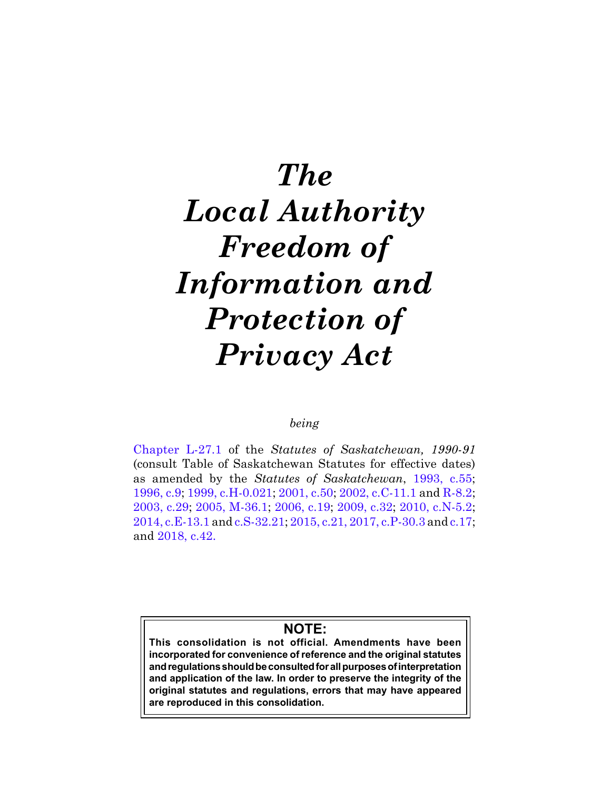# *The Local Authority Freedom of Information and Protection of Privacy Act*

# *being*

[Chapter L-27.1](https://publications.saskatchewan.ca:443/api/v1/products/24733/formats/31826/download) of the *Statutes of Saskatchewan, 1990-91* (consult Table of Saskatchewan Statutes for effective dates) as amended by the *Statutes of Saskatchewan*, [19](https://publications.saskatchewan.ca:443/api/v1/products/26650/formats/33868/download)93, c.55; [1](https://publications.saskatchewan.ca:443/api/v1/products/25311/formats/32741/download)996, c.9; [1](https://publications.saskatchewan.ca:443/api/v1/products/3540/formats/6670/download)999, c.H-0.021; [20](https://publications.saskatchewan.ca:443/api/v1/products/3434/formats/6458/download)01, c.50; [20](https://publications.saskatchewan.ca:443/api/v1/products/4267/formats/8124/download)02, c.C-11.1 and [R-](https://publications.saskatchewan.ca:443/api/v1/products/4282/formats/8154/download)8.2; [2003, c.29](https://publications.saskatchewan.ca:443/api/v1/products/4492/formats/8565/download); [20](https://publications.saskatchewan.ca:443/api/v1/products/10332/formats/15618/download)05, M-36.1; [2](https://publications.saskatchewan.ca:443/api/v1/products/12127/formats/18046/download)006, c.19; [20](https://publications.saskatchewan.ca:443/api/v1/products/28118/formats/35236/download)09, c.32; [2](https://publications.saskatchewan.ca:443/api/v1/products/30307/formats/37291/download)010, c.N-5.2; [2014, c.E-13.1](https://publications.saskatchewan.ca:443/api/v1/products/70626/formats/78515/download) and [c.S-32.21](https://publications.saskatchewan.ca:443/api/v1/products/70628/formats/78519/download); [2015, c.21,](https://publications.saskatchewan.ca:443/api/v1/products/73252/formats/81853/download) [2017, c.P-30.3](https://publications.saskatchewan.ca:443/api/v1/products/85604/formats/99102/download) and [c.17](https://publications.saskatchewan.ca:443/api/v1/products/85850/formats/99448/download); and [2018, c.42](https://publications.saskatchewan.ca:443/api/v1/products/90531/formats/107441/download).

# **NOTE:**

**This consolidation is not official. Amendments have been incorporated for convenience of reference and the original statutes and regulations should be consulted for all purposes of interpretation and application of the law. In order to preserve the integrity of the original statutes and regulations, errors that may have appeared are reproduced in this consolidation.**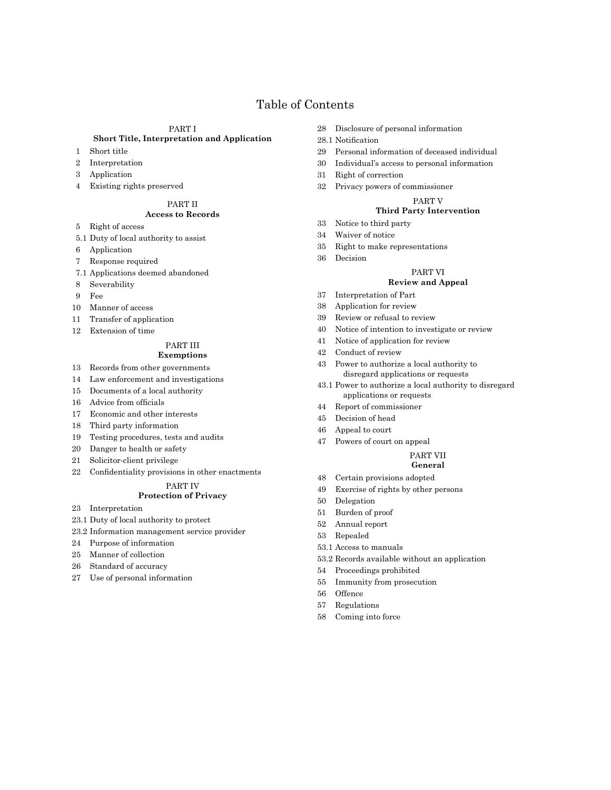# Table of Contents

#### PART I

#### **Short Title, Interpretation and Application**

- Short title
- Interpretation
- Application
- Existing rights preserved

#### PART II

#### **Access to Records**

- Right of access
- 5.1 Duty of local authority to assist
- Application
- Response required
- 7.1 Applications deemed abandoned
- Severability
- Fee
- Manner of access
- Transfer of application
- Extension of time

#### PART III **Exemptions**

- Records from other governments
- Law enforcement and investigations
- Documents of a local authority
- 16 Advice from officials
- Economic and other interests
- Third party information
- Testing procedures, tests and audits
- Danger to health or safety
- Solicitor-client privilege
- 22 Confidentiality provisions in other enactments

#### PART IV

#### **Protection of Privacy**

- Interpretation
- 23.1 Duty of local authority to protect
- 23.2 Information management service provider
- Purpose of information
- Manner of collection
- Standard of accuracy
- Use of personal information
- Disclosure of personal information
- 28.1 Notification
- Personal information of deceased individual
- Individual's access to personal information
- Right of correction
- Privacy powers of commissioner

### PART V

#### **Third Party Intervention**

- Notice to third party
- Waiver of notice
- Right to make representations
- Decision

#### PART VI

#### **Review and Appeal**

- Interpretation of Part
- Application for review
- Review or refusal to review
- Notice of intention to investigate or review
- Notice of application for review
- Conduct of review
- Power to authorize a local authority to disregard applications or requests
- 43.1 Power to authorize a local authority to disregard applications or requests
- Report of commissioner
- Decision of head
- Appeal to court
- Powers of court on appeal

#### PART VII **General**

- Certain provisions adopted
- Exercise of rights by other persons
- Delegation
- Burden of proof
- Annual report
- Repealed
- 53.1 Access to manuals
- 53.2 Records available without an application
- Proceedings prohibited
- Immunity from prosecution
- Offence
- Regulations
- Coming into force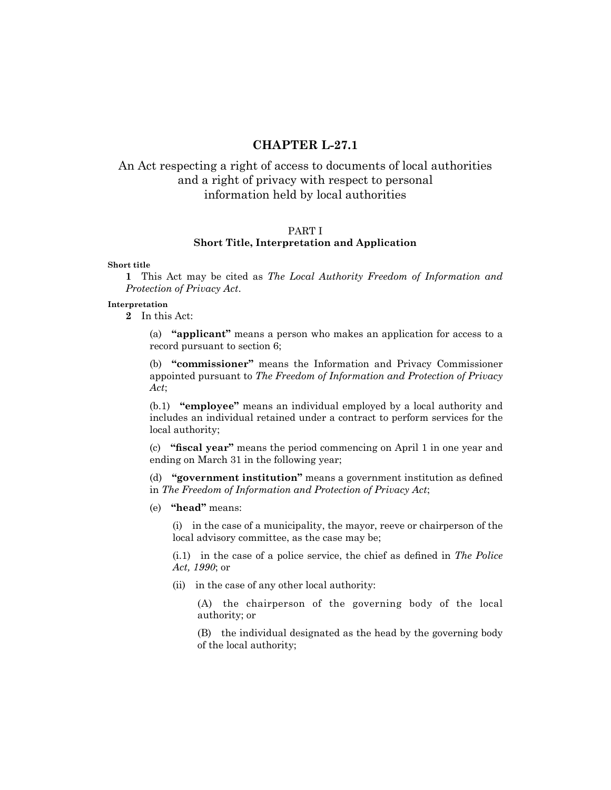# **CHAPTER L-27.1**

# An Act respecting a right of access to documents of local authorities and a right of privacy with respect to personal information held by local authorities

#### PART I

## **Short Title, Interpretation and Application**

#### **Short title**

**1** This Act may be cited as *The Local Authority Freedom of Information and Protection of Privacy Act*.

#### **Interpretation**

**2** In this Act:

(a) **"applicant"** means a person who makes an application for access to a record pursuant to section 6;

(b) **"commissioner"** means the Information and Privacy Commissioner appointed pursuant to *The Freedom of Information and Protection of Privacy Act*;

(b.1) **"employee"** means an individual employed by a local authority and includes an individual retained under a contract to perform services for the local authority;

(c) **"fiscal year"** means the period commencing on April 1 in one year and ending on March 31 in the following year;

(d) **"government institution"** means a government institution as defined in *The Freedom of Information and Protection of Privacy Act*;

(e) **"head"** means:

(i) in the case of a municipality, the mayor, reeve or chairperson of the local advisory committee, as the case may be;

(i.1) in the case of a police service, the chief as defined in *The Police Act, 1990*; or

(ii) in the case of any other local authority:

(A) the chairperson of the governing body of the local authority; or

(B) the individual designated as the head by the governing body of the local authority;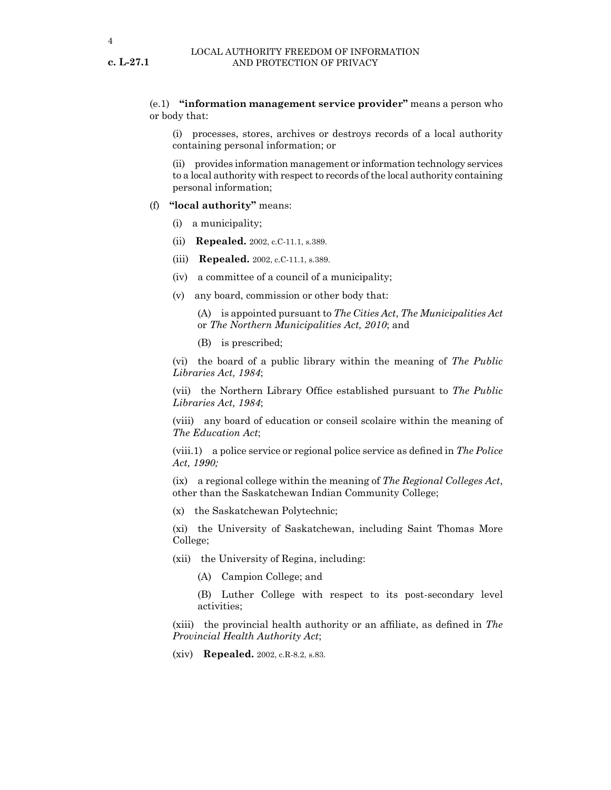(e.1) **"information management service provider"** means a person who or body that:

(i) processes, stores, archives or destroys records of a local authority containing personal information; or

(ii) provides information management or information technology services to a local authority with respect to records of the local authority containing personal information;

#### (f) **"local authority"** means:

- (i) a municipality;
- (ii) **Repealed.** 2002, c.C-11.1, s.389.
- (iii) **Repealed.** 2002, c.C-11.1, s.389.
- (iv) a committee of a council of a municipality;
- (v) any board, commission or other body that:

(A) is appointed pursuant to *The Cities Act*, *The Municipalities Act* or *The Northern Municipalities Act, 2010*; and

(B) is prescribed;

(vi) the board of a public library within the meaning of *The Public Libraries Act, 1984*;

(vii) the Northern Library Office established pursuant to *The Public Libraries Act, 1984*;

(viii) any board of education or conseil scolaire within the meaning of *The Education Act*;

(viii.1) a police service or regional police service as defined in *The Police Act, 1990;*

(ix) a regional college within the meaning of *The Regional Colleges Act*, other than the Saskatchewan Indian Community College;

(x) the Saskatchewan Polytechnic;

(xi) the University of Saskatchewan, including Saint Thomas More College;

- (xii) the University of Regina, including:
	- (A) Campion College; and
	- (B) Luther College with respect to its post-secondary level activities;

(xiii) the provincial health authority or an affiliate, as defined in *The Provincial Health Authority Act*;

(xiv) **Repealed.** 2002, c.R-8.2, s.83.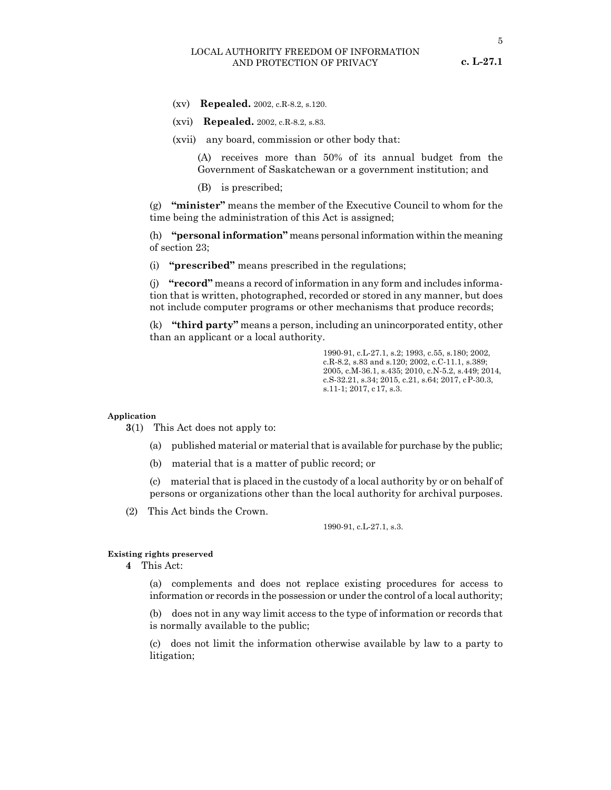- (xv) **Repealed.** 2002, c.R-8.2, s.120.
- (xvi) **Repealed.** 2002, c.R-8.2, s.83.
- (xvii) any board, commission or other body that:

(A) receives more than 50% of its annual budget from the Government of Saskatchewan or a government institution; and

(B) is prescribed;

(g) **"minister"** means the member of the Executive Council to whom for the time being the administration of this Act is assigned;

(h) **"personal information"** means personal information within the meaning of section 23;

(i) **"prescribed"** means prescribed in the regulations;

(j) **"record"** means a record of information in any form and includes information that is written, photographed, recorded or stored in any manner, but does not include computer programs or other mechanisms that produce records;

(k) **"third party"** means a person, including an unincorporated entity, other than an applicant or a local authority.

> 1990-91, c.L-27.1, s.2; 1993, c.55, s.180; 2002, c.R-8.2, s.83 and s.120; 2002, c.C-11.1, s.389; 2005, c.M-36.1, s.435; 2010, c.N-5.2, s.449; 2014, c.S-32.21, s.34; 2015, c.21, s.64; 2017, cP-30.3, s.11-1; 2017, c17, s.3.

#### **Application**

**3**(1) This Act does not apply to:

- (a) published material or material that is available for purchase by the public;
- (b) material that is a matter of public record; or

(c) material that is placed in the custody of a local authority by or on behalf of persons or organizations other than the local authority for archival purposes.

(2) This Act binds the Crown.

1990-91, c.L-27.1, s.3.

#### **Existing rights preserved**

**4** This Act:

(a) complements and does not replace existing procedures for access to information or records in the possession or under the control of a local authority;

(b) does not in any way limit access to the type of information or records that is normally available to the public;

(c) does not limit the information otherwise available by law to a party to litigation;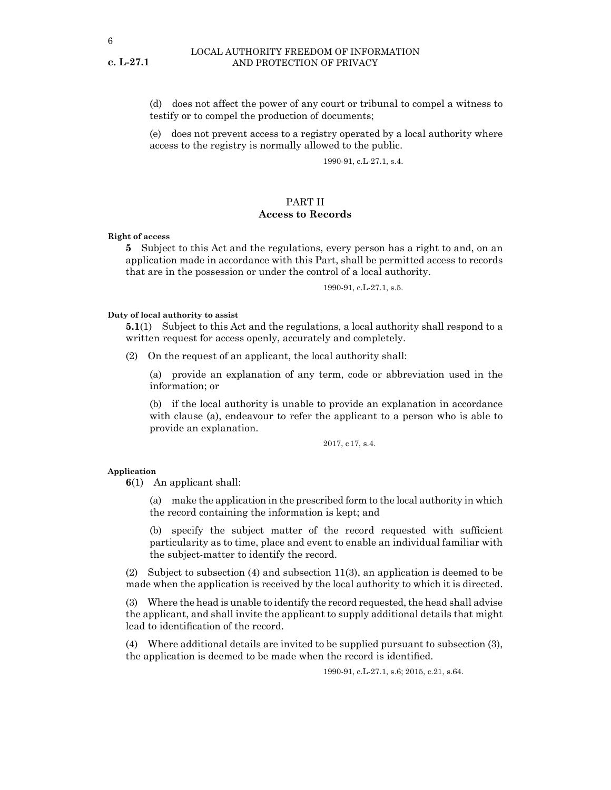**c. L-27.1**

#### LOCAL AUTHORITY FREEDOM OF INFORMATION AND PROTECTION OF PRIVACY

(d) does not affect the power of any court or tribunal to compel a witness to testify or to compel the production of documents;

(e) does not prevent access to a registry operated by a local authority where access to the registry is normally allowed to the public.

1990-91, c.L-27.1, s.4.

# PART II

# **Access to Records**

**Right of access**

**5** Subject to this Act and the regulations, every person has a right to and, on an application made in accordance with this Part, shall be permitted access to records that are in the possession or under the control of a local authority.

1990-91, c.L-27.1, s.5.

#### **Duty of local authority to assist**

**5.1**(1) Subject to this Act and the regulations, a local authority shall respond to a written request for access openly, accurately and completely.

(2) On the request of an applicant, the local authority shall:

(a) provide an explanation of any term, code or abbreviation used in the information; or

(b) if the local authority is unable to provide an explanation in accordance with clause (a), endeavour to refer the applicant to a person who is able to provide an explanation.

2017, c17, s.4.

#### **Application**

**6**(1) An applicant shall:

(a) make the application in the prescribed form to the local authority in which the record containing the information is kept; and

(b) specify the subject matter of the record requested with sufficient particularity as to time, place and event to enable an individual familiar with the subject-matter to identify the record.

(2) Subject to subsection (4) and subsection 11(3), an application is deemed to be made when the application is received by the local authority to which it is directed.

(3) Where the head is unable to identify the record requested, the head shall advise the applicant, and shall invite the applicant to supply additional details that might lead to identification of the record.

(4) Where additional details are invited to be supplied pursuant to subsection (3), the application is deemed to be made when the record is identified.

1990-91, c.L-27.1, s.6; 2015, c.21, s.64.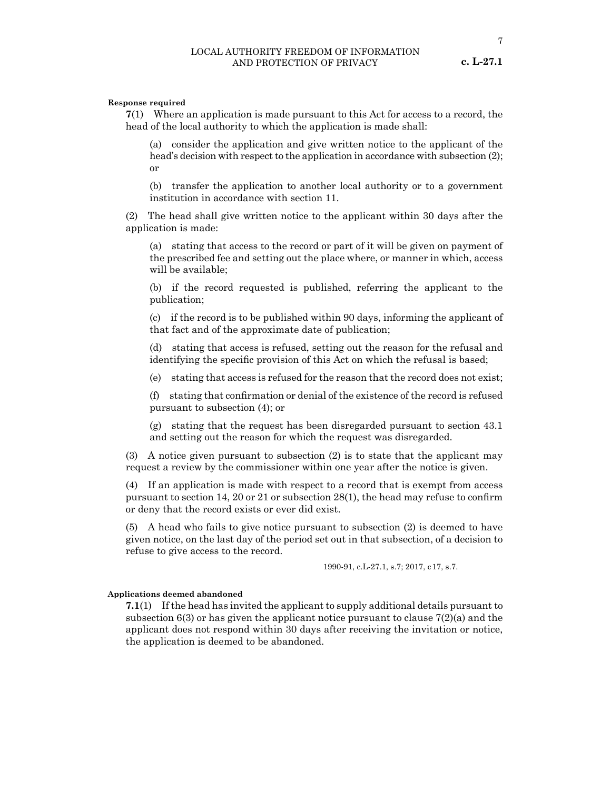7

#### **Response required**

**7**(1) Where an application is made pursuant to this Act for access to a record, the head of the local authority to which the application is made shall:

(a) consider the application and give written notice to the applicant of the head's decision with respect to the application in accordance with subsection (2); or

(b) transfer the application to another local authority or to a government institution in accordance with section 11.

(2) The head shall give written notice to the applicant within 30 days after the application is made:

(a) stating that access to the record or part of it will be given on payment of the prescribed fee and setting out the place where, or manner in which, access will be available;

(b) if the record requested is published, referring the applicant to the publication;

(c) if the record is to be published within 90 days, informing the applicant of that fact and of the approximate date of publication;

(d) stating that access is refused, setting out the reason for the refusal and identifying the specific provision of this Act on which the refusal is based;

(e) stating that access is refused for the reason that the record does not exist;

(f) stating that confirmation or denial of the existence of the record is refused pursuant to subsection (4); or

(g) stating that the request has been disregarded pursuant to section 43.1 and setting out the reason for which the request was disregarded.

(3) A notice given pursuant to subsection (2) is to state that the applicant may request a review by the commissioner within one year after the notice is given.

(4) If an application is made with respect to a record that is exempt from access pursuant to section 14, 20 or 21 or subsection 28(1), the head may refuse to confirm or deny that the record exists or ever did exist.

(5) A head who fails to give notice pursuant to subsection (2) is deemed to have given notice, on the last day of the period set out in that subsection, of a decision to refuse to give access to the record.

1990-91, c.L-27.1, s.7; 2017, c17, s.7.

#### **Applications deemed abandoned**

**7.1**(1) If the head has invited the applicant to supply additional details pursuant to subsection  $6(3)$  or has given the applicant notice pursuant to clause  $7(2)(a)$  and the applicant does not respond within 30 days after receiving the invitation or notice, the application is deemed to be abandoned.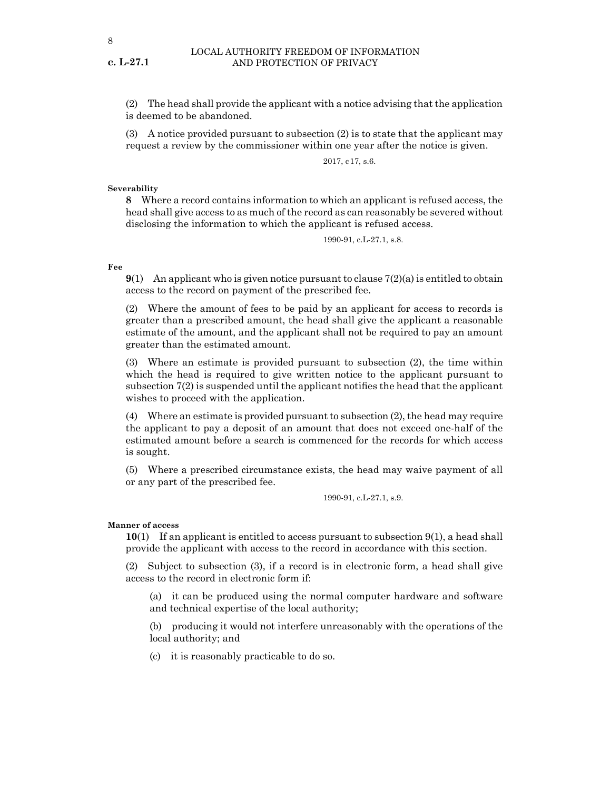(2) The head shall provide the applicant with a notice advising that the application is deemed to be abandoned.

(3) A notice provided pursuant to subsection (2) is to state that the applicant may request a review by the commissioner within one year after the notice is given.

2017, c17, s.6.

#### **Severability**

**8** Where a record contains information to which an applicant is refused access, the head shall give access to as much of the record as can reasonably be severed without disclosing the information to which the applicant is refused access.

1990-91, c.L-27.1, s.8.

#### **Fee**

**9**(1) An applicant who is given notice pursuant to clause 7(2)(a) is entitled to obtain access to the record on payment of the prescribed fee.

(2) Where the amount of fees to be paid by an applicant for access to records is greater than a prescribed amount, the head shall give the applicant a reasonable estimate of the amount, and the applicant shall not be required to pay an amount greater than the estimated amount.

(3) Where an estimate is provided pursuant to subsection (2), the time within which the head is required to give written notice to the applicant pursuant to subsection 7(2) is suspended until the applicant notifies the head that the applicant wishes to proceed with the application.

(4) Where an estimate is provided pursuant to subsection (2), the head may require the applicant to pay a deposit of an amount that does not exceed one-half of the estimated amount before a search is commenced for the records for which access is sought.

(5) Where a prescribed circumstance exists, the head may waive payment of all or any part of the prescribed fee.

1990-91, c.L-27.1, s.9.

#### **Manner of access**

**10**(1) If an applicant is entitled to access pursuant to subsection 9(1), a head shall provide the applicant with access to the record in accordance with this section.

(2) Subject to subsection (3), if a record is in electronic form, a head shall give access to the record in electronic form if:

(a) it can be produced using the normal computer hardware and software and technical expertise of the local authority;

(b) producing it would not interfere unreasonably with the operations of the local authority; and

(c) it is reasonably practicable to do so.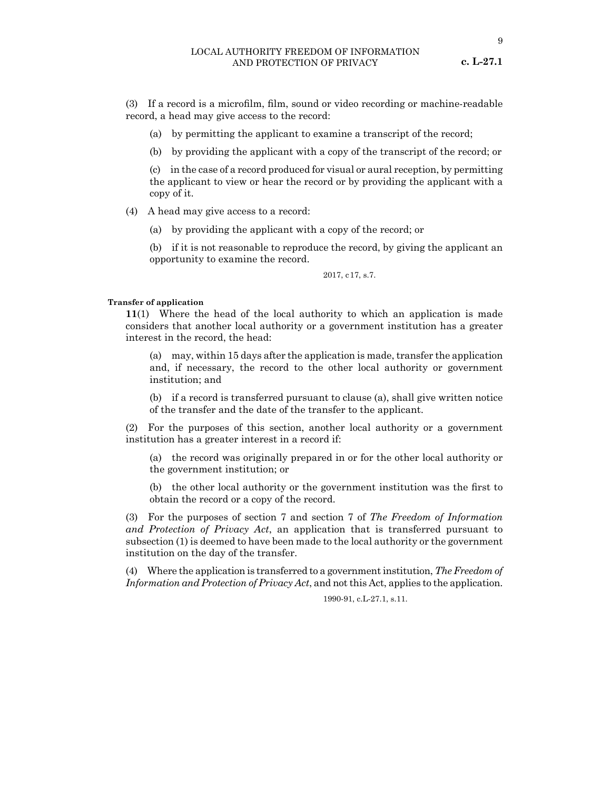9

(3) If a record is a microfilm, film, sound or video recording or machine-readable record, a head may give access to the record:

(a) by permitting the applicant to examine a transcript of the record;

(b) by providing the applicant with a copy of the transcript of the record; or

(c) in the case of a record produced for visual or aural reception, by permitting the applicant to view or hear the record or by providing the applicant with a copy of it.

(4) A head may give access to a record:

(a) by providing the applicant with a copy of the record; or

(b) if it is not reasonable to reproduce the record, by giving the applicant an opportunity to examine the record.

2017, c17, s.7.

#### **Transfer of application**

**11**(1) Where the head of the local authority to which an application is made considers that another local authority or a government institution has a greater interest in the record, the head:

(a) may, within 15 days after the application is made, transfer the application and, if necessary, the record to the other local authority or government institution; and

(b) if a record is transferred pursuant to clause (a), shall give written notice of the transfer and the date of the transfer to the applicant.

(2) For the purposes of this section, another local authority or a government institution has a greater interest in a record if:

(a) the record was originally prepared in or for the other local authority or the government institution; or

(b) the other local authority or the government institution was the first to obtain the record or a copy of the record.

(3) For the purposes of section 7 and section 7 of *The Freedom of Information and Protection of Privacy Act*, an application that is transferred pursuant to subsection (1) is deemed to have been made to the local authority or the government institution on the day of the transfer.

(4) Where the application is transferred to a government institution, *The Freedom of Information and Protection of Privacy Act*, and not this Act, applies to the application.

1990-91, c.L-27.1, s.11.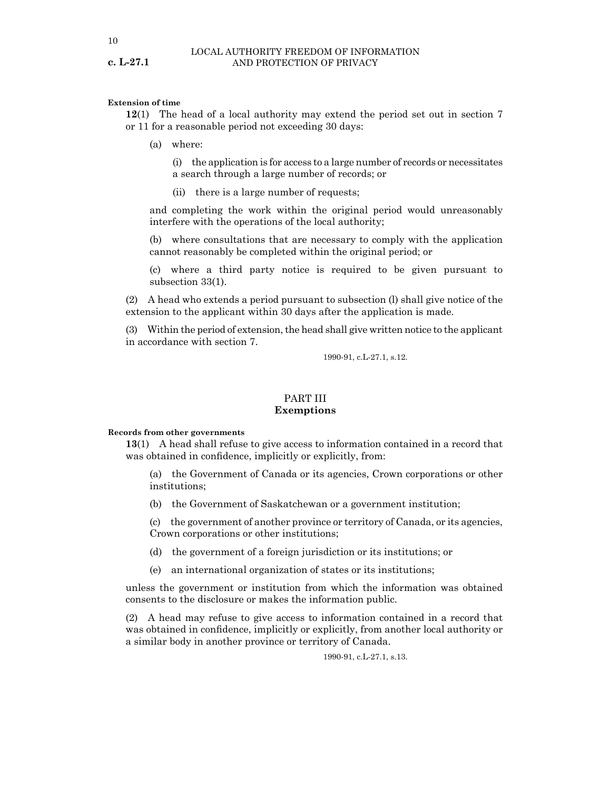#### **Extension of time**

**12**(1) The head of a local authority may extend the period set out in section 7 or 11 for a reasonable period not exceeding 30 days:

(a) where:

(i) the application is for access to a large number of records or necessitates a search through a large number of records; or

(ii) there is a large number of requests;

and completing the work within the original period would unreasonably interfere with the operations of the local authority;

(b) where consultations that are necessary to comply with the application cannot reasonably be completed within the original period; or

(c) where a third party notice is required to be given pursuant to subsection 33(1).

(2) A head who extends a period pursuant to subsection (l) shall give notice of the extension to the applicant within 30 days after the application is made.

(3) Within the period of extension, the head shall give written notice to the applicant in accordance with section 7.

1990-91, c.L-27.1, s.12.

#### PART III **Exemptions**

#### **Records from other governments**

**13**(1) A head shall refuse to give access to information contained in a record that was obtained in confidence, implicitly or explicitly, from:

(a) the Government of Canada or its agencies, Crown corporations or other institutions;

(b) the Government of Saskatchewan or a government institution;

(c) the government of another province or territory of Canada, or its agencies, Crown corporations or other institutions;

- (d) the government of a foreign jurisdiction or its institutions; or
- (e) an international organization of states or its institutions;

unless the government or institution from which the information was obtained consents to the disclosure or makes the information public.

(2) A head may refuse to give access to information contained in a record that was obtained in confidence, implicitly or explicitly, from another local authority or a similar body in another province or territory of Canada.

1990-91, c.L-27.1, s.13.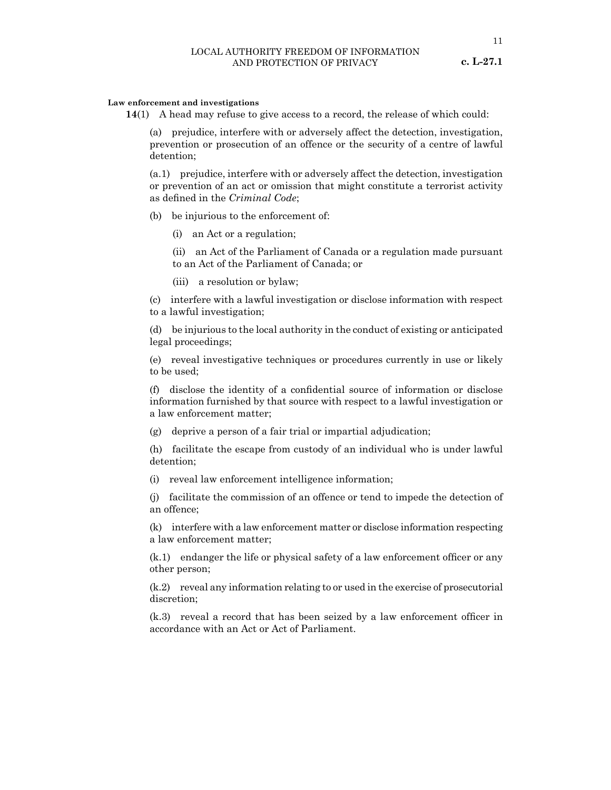#### **Law enforcement and investigations**

**14**(1) A head may refuse to give access to a record, the release of which could:

(a) prejudice, interfere with or adversely affect the detection, investigation, prevention or prosecution of an offence or the security of a centre of lawful detention;

(a.1) prejudice, interfere with or adversely affect the detection, investigation or prevention of an act or omission that might constitute a terrorist activity as defined in the *Criminal Code*;

- (b) be injurious to the enforcement of:
	- (i) an Act or a regulation;

(ii) an Act of the Parliament of Canada or a regulation made pursuant to an Act of the Parliament of Canada; or

(iii) a resolution or bylaw;

(c) interfere with a lawful investigation or disclose information with respect to a lawful investigation;

(d) be injurious to the local authority in the conduct of existing or anticipated legal proceedings;

(e) reveal investigative techniques or procedures currently in use or likely to be used;

(f) disclose the identity of a confidential source of information or disclose information furnished by that source with respect to a lawful investigation or a law enforcement matter;

(g) deprive a person of a fair trial or impartial adjudication;

(h) facilitate the escape from custody of an individual who is under lawful detention;

(i) reveal law enforcement intelligence information;

(j) facilitate the commission of an offence or tend to impede the detection of an offence;

(k) interfere with a law enforcement matter or disclose information respecting a law enforcement matter;

(k.1) endanger the life or physical safety of a law enforcement officer or any other person;

(k.2) reveal any information relating to or used in the exercise of prosecutorial discretion;

(k.3) reveal a record that has been seized by a law enforcement officer in accordance with an Act or Act of Parliament.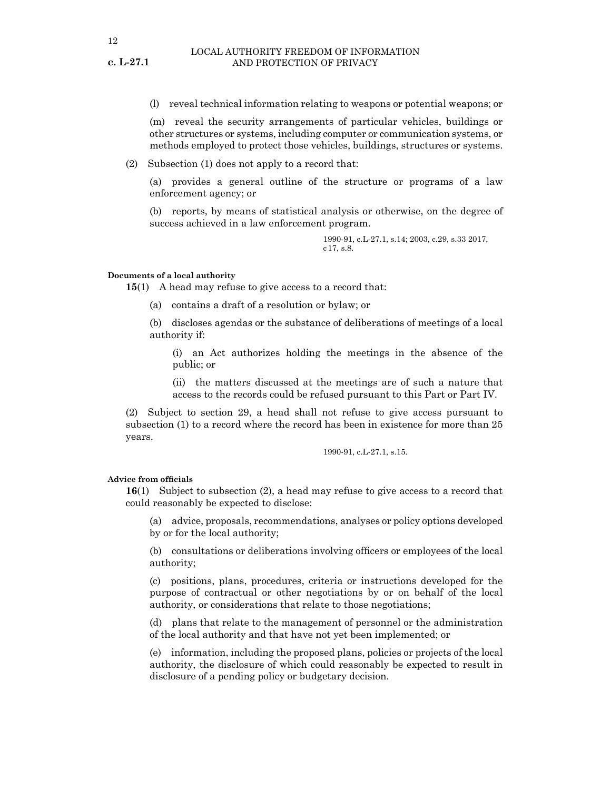(l) reveal technical information relating to weapons or potential weapons; or

(m) reveal the security arrangements of particular vehicles, buildings or other structures or systems, including computer or communication systems, or methods employed to protect those vehicles, buildings, structures or systems.

(2) Subsection (1) does not apply to a record that:

(a) provides a general outline of the structure or programs of a law enforcement agency; or

(b) reports, by means of statistical analysis or otherwise, on the degree of success achieved in a law enforcement program.

> 1990-91, c.L-27.1, s.14; 2003, c.29, s.33 2017, c17, s.8.

#### **Documents of a local authority**

**15**(1) A head may refuse to give access to a record that:

- (a) contains a draft of a resolution or bylaw; or
- (b) discloses agendas or the substance of deliberations of meetings of a local authority if:

(i) an Act authorizes holding the meetings in the absence of the public; or

(ii) the matters discussed at the meetings are of such a nature that access to the records could be refused pursuant to this Part or Part IV.

(2) Subject to section 29, a head shall not refuse to give access pursuant to subsection (1) to a record where the record has been in existence for more than 25 years.

1990-91, c.L-27.1, s.15.

#### **Advice from officials**

**16**(1) Subject to subsection (2), a head may refuse to give access to a record that could reasonably be expected to disclose:

(a) advice, proposals, recommendations, analyses or policy options developed by or for the local authority;

(b) consultations or deliberations involving officers or employees of the local authority;

(c) positions, plans, procedures, criteria or instructions developed for the purpose of contractual or other negotiations by or on behalf of the local authority, or considerations that relate to those negotiations;

(d) plans that relate to the management of personnel or the administration of the local authority and that have not yet been implemented; or

(e) information, including the proposed plans, policies or projects of the local authority, the disclosure of which could reasonably be expected to result in disclosure of a pending policy or budgetary decision.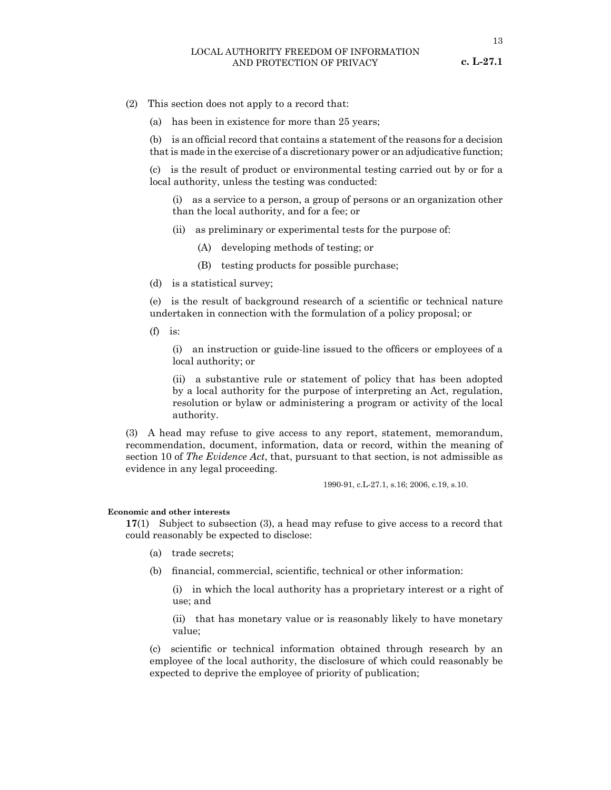13

- (2) This section does not apply to a record that:
	- (a) has been in existence for more than 25 years;

(b) is an official record that contains a statement of the reasons for a decision that is made in the exercise of a discretionary power or an adjudicative function;

(c) is the result of product or environmental testing carried out by or for a local authority, unless the testing was conducted:

(i) as a service to a person, a group of persons or an organization other than the local authority, and for a fee; or

- (ii) as preliminary or experimental tests for the purpose of:
	- (A) developing methods of testing; or
	- (B) testing products for possible purchase;
- (d) is a statistical survey;

(e) is the result of background research of a scientific or technical nature undertaken in connection with the formulation of a policy proposal; or

 $(f)$  is:

(i) an instruction or guide-line issued to the officers or employees of a local authority; or

(ii) a substantive rule or statement of policy that has been adopted by a local authority for the purpose of interpreting an Act, regulation, resolution or bylaw or administering a program or activity of the local authority.

(3) A head may refuse to give access to any report, statement, memorandum, recommendation, document, information, data or record, within the meaning of section 10 of *The Evidence Act*, that, pursuant to that section, is not admissible as evidence in any legal proceeding.

1990-91, c.L-27.1, s.16; 2006, c.19, s.10.

#### **Economic and other interests**

**17**(1) Subject to subsection (3), a head may refuse to give access to a record that could reasonably be expected to disclose:

- (a) trade secrets;
- (b) financial, commercial, scientific, technical or other information:
	- (i) in which the local authority has a proprietary interest or a right of use; and

(ii) that has monetary value or is reasonably likely to have monetary value;

(c) scientific or technical information obtained through research by an employee of the local authority, the disclosure of which could reasonably be expected to deprive the employee of priority of publication;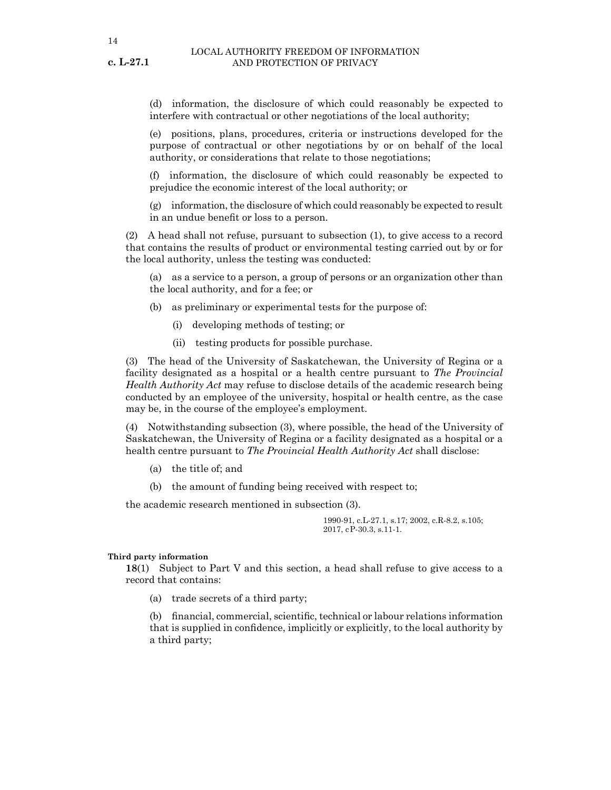**c. L-27.1**

(d) information, the disclosure of which could reasonably be expected to interfere with contractual or other negotiations of the local authority;

(e) positions, plans, procedures, criteria or instructions developed for the purpose of contractual or other negotiations by or on behalf of the local authority, or considerations that relate to those negotiations;

(f) information, the disclosure of which could reasonably be expected to prejudice the economic interest of the local authority; or

(g) information, the disclosure of which could reasonably be expected to result in an undue benefit or loss to a person.

(2) A head shall not refuse, pursuant to subsection (1), to give access to a record that contains the results of product or environmental testing carried out by or for the local authority, unless the testing was conducted:

(a) as a service to a person, a group of persons or an organization other than the local authority, and for a fee; or

(b) as preliminary or experimental tests for the purpose of:

- (i) developing methods of testing; or
- (ii) testing products for possible purchase.

(3) The head of the University of Saskatchewan, the University of Regina or a facility designated as a hospital or a health centre pursuant to *The Provincial Health Authority Act* may refuse to disclose details of the academic research being conducted by an employee of the university, hospital or health centre, as the case may be, in the course of the employee's employment.

(4) Notwithstanding subsection (3), where possible, the head of the University of Saskatchewan, the University of Regina or a facility designated as a hospital or a health centre pursuant to *The Provincial Health Authority Act* shall disclose:

- (a) the title of; and
- (b) the amount of funding being received with respect to;

the academic research mentioned in subsection (3).

1990-91, c.L-27.1, s.17; 2002, c.R-8.2, s.105; 2017, cP-30.3, s.11-1.

#### **Third party information**

**18**(1) Subject to Part V and this section, a head shall refuse to give access to a record that contains:

(a) trade secrets of a third party;

(b) financial, commercial, scientific, technical or labour relations information that is supplied in confidence, implicitly or explicitly, to the local authority by a third party;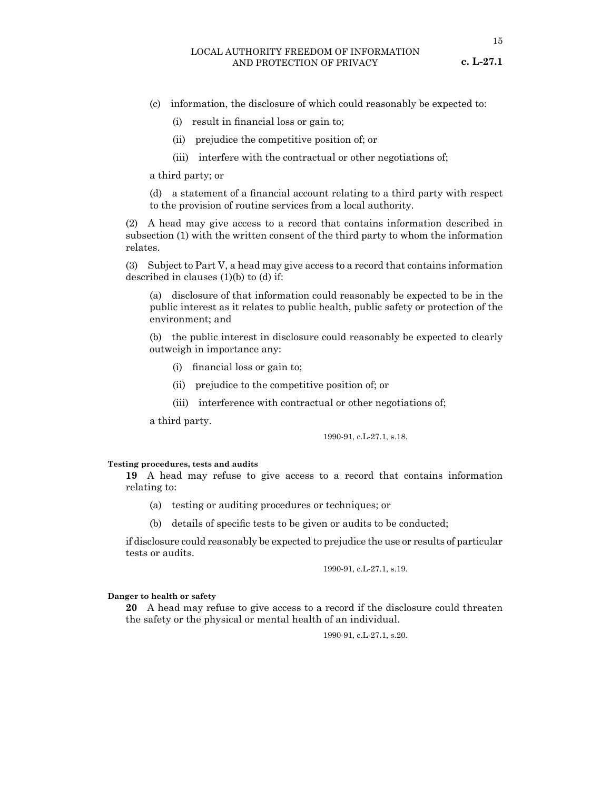- **c. L-27.1**
- (c) information, the disclosure of which could reasonably be expected to:
	- (i) result in financial loss or gain to;
	- (ii) prejudice the competitive position of; or
	- (iii) interfere with the contractual or other negotiations of;

a third party; or

(d) a statement of a financial account relating to a third party with respect to the provision of routine services from a local authority.

(2) A head may give access to a record that contains information described in subsection (1) with the written consent of the third party to whom the information relates.

(3) Subject to Part V, a head may give access to a record that contains information described in clauses (1)(b) to (d) if:

(a) disclosure of that information could reasonably be expected to be in the public interest as it relates to public health, public safety or protection of the environment; and

(b) the public interest in disclosure could reasonably be expected to clearly outweigh in importance any:

- (i) financial loss or gain to;
- (ii) prejudice to the competitive position of; or
- (iii) interference with contractual or other negotiations of;

a third party.

1990-91, c.L-27.1, s.18.

#### **Testing procedures, tests and audits**

**19** A head may refuse to give access to a record that contains information relating to:

- (a) testing or auditing procedures or techniques; or
- (b) details of specific tests to be given or audits to be conducted;

if disclosure could reasonably be expected to prejudice the use or results of particular tests or audits.

1990-91, c.L-27.1, s.19.

#### **Danger to health or safety**

**20** A head may refuse to give access to a record if the disclosure could threaten the safety or the physical or mental health of an individual.

1990-91, c.L-27.1, s.20.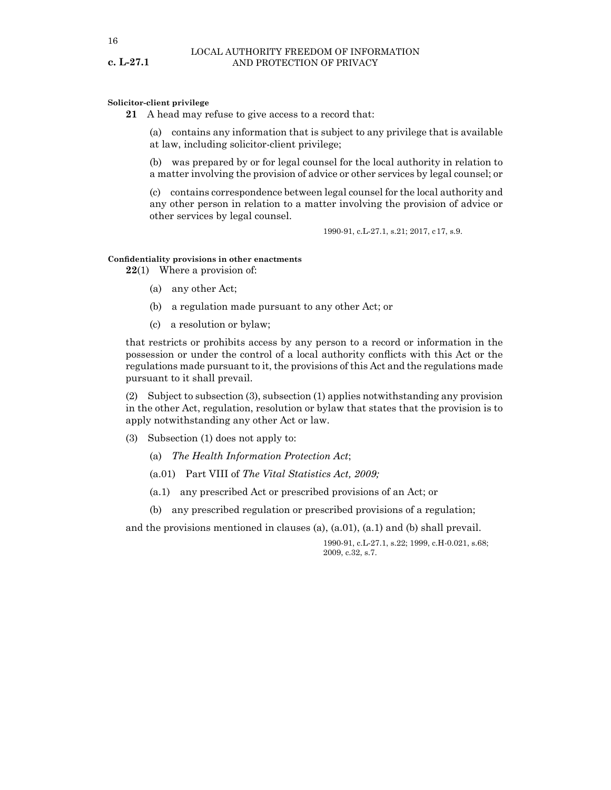#### **Solicitor-client privilege**

**21** A head may refuse to give access to a record that:

(a) contains any information that is subject to any privilege that is available at law, including solicitor-client privilege;

(b) was prepared by or for legal counsel for the local authority in relation to a matter involving the provision of advice or other services by legal counsel; or

(c) contains correspondence between legal counsel for the local authority and any other person in relation to a matter involving the provision of advice or other services by legal counsel.

1990-91, c.L-27.1, s.21; 2017, c17, s.9.

#### **Confidentiality provisions in other enactments**

**22**(1) Where a provision of:

- (a) any other Act;
- (b) a regulation made pursuant to any other Act; or
- (c) a resolution or bylaw;

that restricts or prohibits access by any person to a record or information in the possession or under the control of a local authority conflicts with this Act or the regulations made pursuant to it, the provisions of this Act and the regulations made pursuant to it shall prevail.

(2) Subject to subsection (3), subsection (1) applies notwithstanding any provision in the other Act, regulation, resolution or bylaw that states that the provision is to apply notwithstanding any other Act or law.

- (3) Subsection (1) does not apply to:
	- (a) *The Health Information Protection Act*;
	- (a.01) Part VIII of *The Vital Statistics Act, 2009;*
	- (a.1) any prescribed Act or prescribed provisions of an Act; or
	- (b) any prescribed regulation or prescribed provisions of a regulation;

and the provisions mentioned in clauses (a),  $(a.01)$ ,  $(a.1)$  and (b) shall prevail.

1990-91, c.L-27.1, s.22; 1999, c.H-0.021, s.68; 2009, c.32, s.7.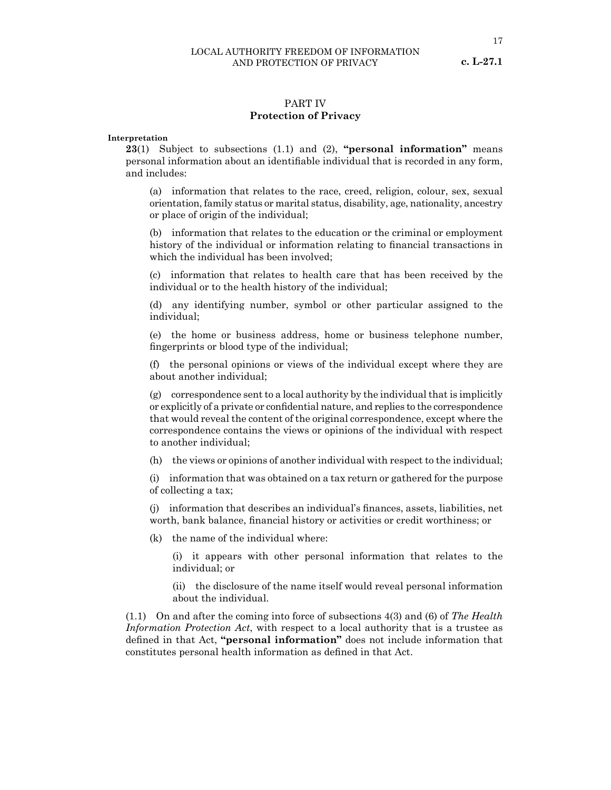# PART IV

#### **Protection of Privacy**

#### **Interpretation**

**23**(1) Subject to subsections (1.1) and (2), **"personal information"** means personal information about an identifiable individual that is recorded in any form, and includes:

(a) information that relates to the race, creed, religion, colour, sex, sexual orientation, family status or marital status, disability, age, nationality, ancestry or place of origin of the individual;

(b) information that relates to the education or the criminal or employment history of the individual or information relating to financial transactions in which the individual has been involved;

(c) information that relates to health care that has been received by the individual or to the health history of the individual;

(d) any identifying number, symbol or other particular assigned to the individual;

(e) the home or business address, home or business telephone number, fingerprints or blood type of the individual;

(f) the personal opinions or views of the individual except where they are about another individual;

 $(g)$  correspondence sent to a local authority by the individual that is implicitly or explicitly of a private or confidential nature, and replies to the correspondence that would reveal the content of the original correspondence, except where the correspondence contains the views or opinions of the individual with respect to another individual;

(h) the views or opinions of another individual with respect to the individual;

(i) information that was obtained on a tax return or gathered for the purpose of collecting a tax;

(j) information that describes an individual's finances, assets, liabilities, net worth, bank balance, financial history or activities or credit worthiness; or

(k) the name of the individual where:

(i) it appears with other personal information that relates to the individual; or

(ii) the disclosure of the name itself would reveal personal information about the individual.

(1.1) On and after the coming into force of subsections 4(3) and (6) of *The Health Information Protection Act*, with respect to a local authority that is a trustee as defined in that Act, **"personal information"** does not include information that constitutes personal health information as defined in that Act.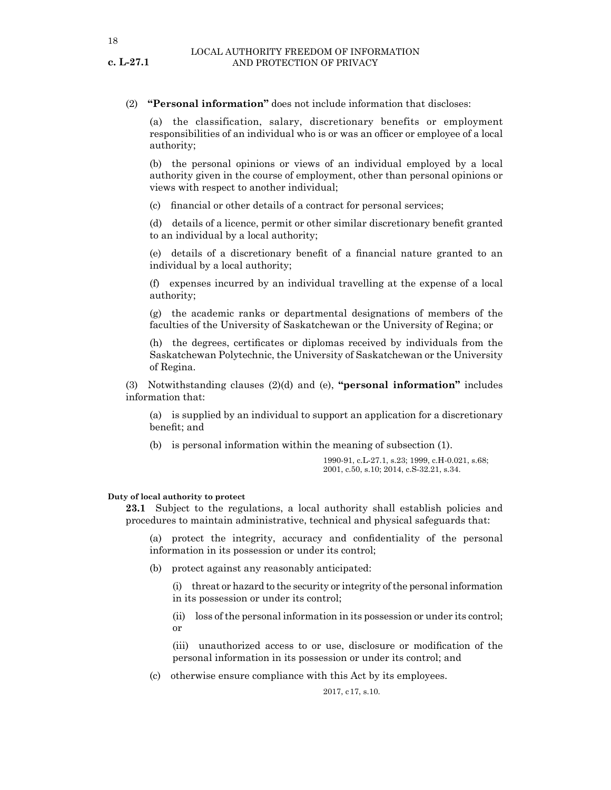### (2) **"Personal information"** does not include information that discloses:

(a) the classification, salary, discretionary benefits or employment responsibilities of an individual who is or was an officer or employee of a local authority;

(b) the personal opinions or views of an individual employed by a local authority given in the course of employment, other than personal opinions or views with respect to another individual;

(c) financial or other details of a contract for personal services;

(d) details of a licence, permit or other similar discretionary benefit granted to an individual by a local authority;

(e) details of a discretionary benefit of a financial nature granted to an individual by a local authority;

(f) expenses incurred by an individual travelling at the expense of a local authority;

(g) the academic ranks or departmental designations of members of the faculties of the University of Saskatchewan or the University of Regina; or

(h) the degrees, certificates or diplomas received by individuals from the Saskatchewan Polytechnic, the University of Saskatchewan or the University of Regina.

(3) Notwithstanding clauses (2)(d) and (e), **"personal information"** includes information that:

(a) is supplied by an individual to support an application for a discretionary benefit; and

(b) is personal information within the meaning of subsection (1).

1990-91, c.L-27.1, s.23; 1999, c.H-0.021, s.68; 2001, c.50, s.10; 2014, c.S-32.21, s.34.

#### **Duty of local authority to protect**

**23.1** Subject to the regulations, a local authority shall establish policies and procedures to maintain administrative, technical and physical safeguards that:

(a) protect the integrity, accuracy and confidentiality of the personal information in its possession or under its control;

(b) protect against any reasonably anticipated:

(i) threat or hazard to the security or integrity of the personal information in its possession or under its control;

(ii) loss of the personal information in its possession or under its control; or

(iii) unauthorized access to or use, disclosure or modification of the personal information in its possession or under its control; and

(c) otherwise ensure compliance with this Act by its employees.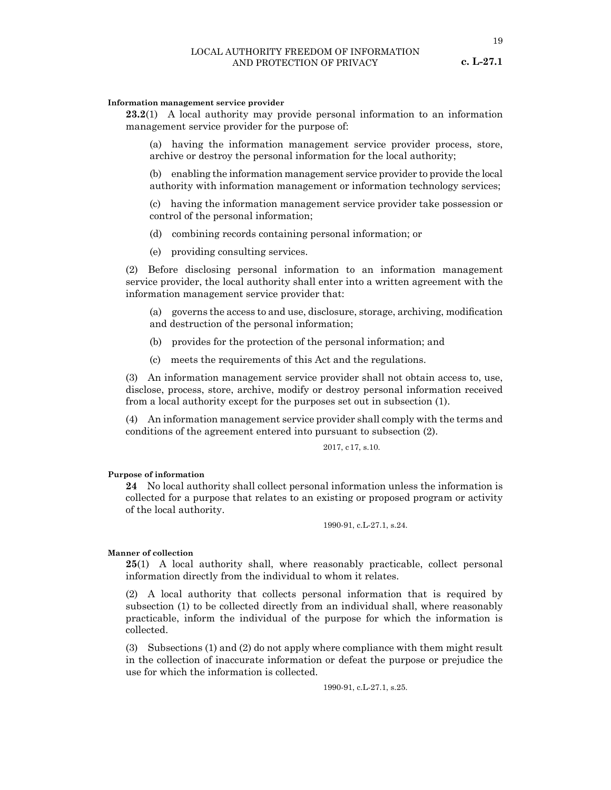#### LOCAL AUTHORITY FREEDOM OF INFORMATION AND PROTECTION OF PRIVACY

#### **c. L-27.1**

#### **Information management service provider**

**23.2**(1) A local authority may provide personal information to an information management service provider for the purpose of:

(a) having the information management service provider process, store, archive or destroy the personal information for the local authority;

(b) enabling the information management service provider to provide the local authority with information management or information technology services;

(c) having the information management service provider take possession or control of the personal information;

(d) combining records containing personal information; or

(e) providing consulting services.

(2) Before disclosing personal information to an information management service provider, the local authority shall enter into a written agreement with the information management service provider that:

(a) governs the access to and use, disclosure, storage, archiving, modification and destruction of the personal information;

(b) provides for the protection of the personal information; and

(c) meets the requirements of this Act and the regulations.

(3) An information management service provider shall not obtain access to, use, disclose, process, store, archive, modify or destroy personal information received from a local authority except for the purposes set out in subsection (1).

(4) An information management service provider shall comply with the terms and conditions of the agreement entered into pursuant to subsection (2).

2017, c17, s.10.

#### **Purpose of information**

**24** No local authority shall collect personal information unless the information is collected for a purpose that relates to an existing or proposed program or activity of the local authority.

1990-91, c.L-27.1, s.24.

#### **Manner of collection**

**25**(1) A local authority shall, where reasonably practicable, collect personal information directly from the individual to whom it relates.

(2) A local authority that collects personal information that is required by subsection (1) to be collected directly from an individual shall, where reasonably practicable, inform the individual of the purpose for which the information is collected.

(3) Subsections (1) and (2) do not apply where compliance with them might result in the collection of inaccurate information or defeat the purpose or prejudice the use for which the information is collected.

1990-91, c.L-27.1, s.25.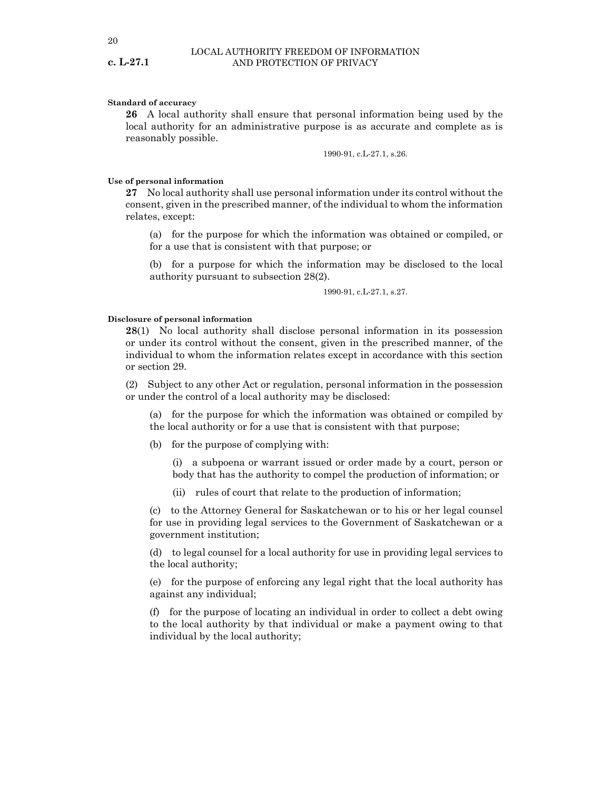#### **Standard of accuracy**

**26** A local authority shall ensure that personal information being used by the local authority for an administrative purpose is as accurate and complete as is reasonably possible.

1990-91, c.L-27.1, s.26.

#### **Use of personal information**

**27** No local authority shall use personal information under its control without the consent, given in the prescribed manner, of the individual to whom the information relates, except:

(a) for the purpose for which the information was obtained or compiled, or for a use that is consistent with that purpose; or

(b) for a purpose for which the information may be disclosed to the local authority pursuant to subsection 28(2).

1990-91, c.L-27.1, s.27.

#### **Disclosure of personal information**

**28**(1) No local authority shall disclose personal information in its possession or under its control without the consent, given in the prescribed manner, of the individual to whom the information relates except in accordance with this section or section 29.

(2) Subject to any other Act or regulation, personal information in the possession or under the control of a local authority may be disclosed:

(a) for the purpose for which the information was obtained or compiled by the local authority or for a use that is consistent with that purpose;

(b) for the purpose of complying with:

(i) a subpoena or warrant issued or order made by a court, person or body that has the authority to compel the production of information; or

(ii) rules of court that relate to the production of information;

(c) to the Attorney General for Saskatchewan or to his or her legal counsel for use in providing legal services to the Government of Saskatchewan or a government institution;

(d) to legal counsel for a local authority for use in providing legal services to the local authority;

(e) for the purpose of enforcing any legal right that the local authority has against any individual;

(f) for the purpose of locating an individual in order to collect a debt owing to the local authority by that individual or make a payment owing to that individual by the local authority;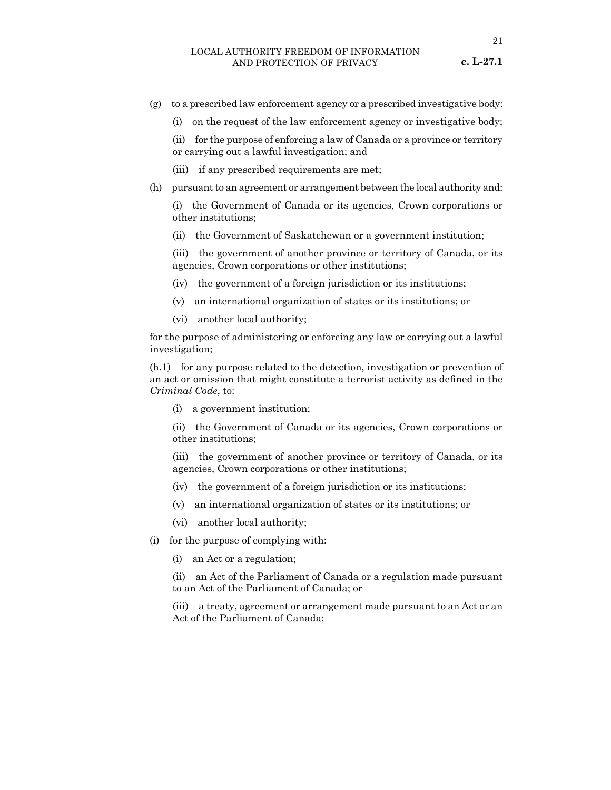- (g) to a prescribed law enforcement agency or a prescribed investigative body:
	- (i) on the request of the law enforcement agency or investigative body;

(ii) for the purpose of enforcing a law of Canada or a province or territory or carrying out a lawful investigation; and

- (iii) if any prescribed requirements are met;
- (h) pursuant to an agreement or arrangement between the local authority and:

(i) the Government of Canada or its agencies, Crown corporations or other institutions;

(ii) the Government of Saskatchewan or a government institution;

(iii) the government of another province or territory of Canada, or its agencies, Crown corporations or other institutions;

- (iv) the government of a foreign jurisdiction or its institutions;
- (v) an international organization of states or its institutions; or
- (vi) another local authority;

for the purpose of administering or enforcing any law or carrying out a lawful investigation;

(h.1) for any purpose related to the detection, investigation or prevention of an act or omission that might constitute a terrorist activity as defined in the *Criminal Code*, to:

(i) a government institution;

(ii) the Government of Canada or its agencies, Crown corporations or other institutions;

(iii) the government of another province or territory of Canada, or its agencies, Crown corporations or other institutions;

- (iv) the government of a foreign jurisdiction or its institutions;
- (v) an international organization of states or its institutions; or
- (vi) another local authority;
- (i) for the purpose of complying with:
	- (i) an Act or a regulation;

(ii) an Act of the Parliament of Canada or a regulation made pursuant to an Act of the Parliament of Canada; or

(iii) a treaty, agreement or arrangement made pursuant to an Act or an Act of the Parliament of Canada;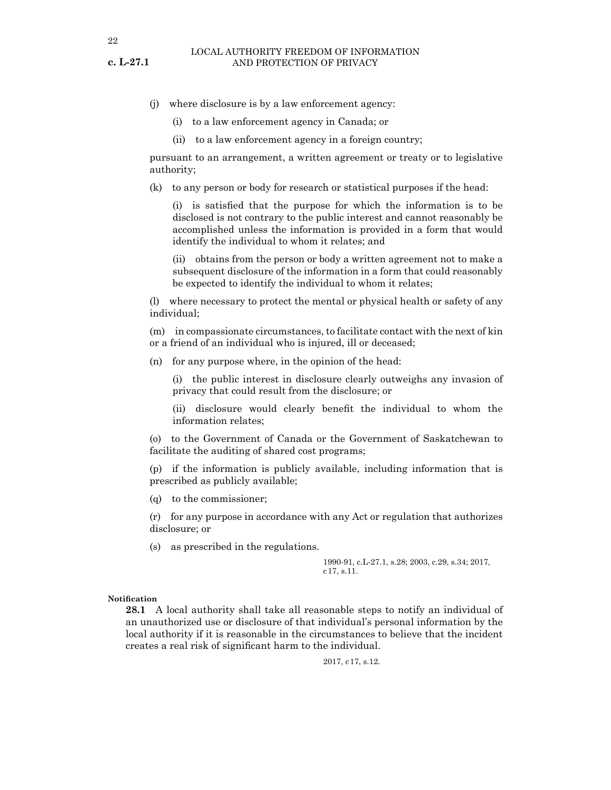- (j) where disclosure is by a law enforcement agency:
	- (i) to a law enforcement agency in Canada; or
	- (ii) to a law enforcement agency in a foreign country;

pursuant to an arrangement, a written agreement or treaty or to legislative authority;

(k) to any person or body for research or statistical purposes if the head:

(i) is satisfied that the purpose for which the information is to be disclosed is not contrary to the public interest and cannot reasonably be accomplished unless the information is provided in a form that would identify the individual to whom it relates; and

(ii) obtains from the person or body a written agreement not to make a subsequent disclosure of the information in a form that could reasonably be expected to identify the individual to whom it relates;

(l) where necessary to protect the mental or physical health or safety of any individual;

(m) in compassionate circumstances, to facilitate contact with the next of kin or a friend of an individual who is injured, ill or deceased;

(n) for any purpose where, in the opinion of the head:

(i) the public interest in disclosure clearly outweighs any invasion of privacy that could result from the disclosure; or

(ii) disclosure would clearly benefit the individual to whom the information relates;

(o) to the Government of Canada or the Government of Saskatchewan to facilitate the auditing of shared cost programs;

(p) if the information is publicly available, including information that is prescribed as publicly available;

(q) to the commissioner;

(r) for any purpose in accordance with any Act or regulation that authorizes disclosure; or

(s) as prescribed in the regulations.

1990-91, c.L-27.1, s.28; 2003, c.29, s.34; 2017, c17, s.11.

#### **Notification**

**28.1** A local authority shall take all reasonable steps to notify an individual of an unauthorized use or disclosure of that individual's personal information by the local authority if it is reasonable in the circumstances to believe that the incident creates a real risk of significant harm to the individual.

2017, c17, s.12.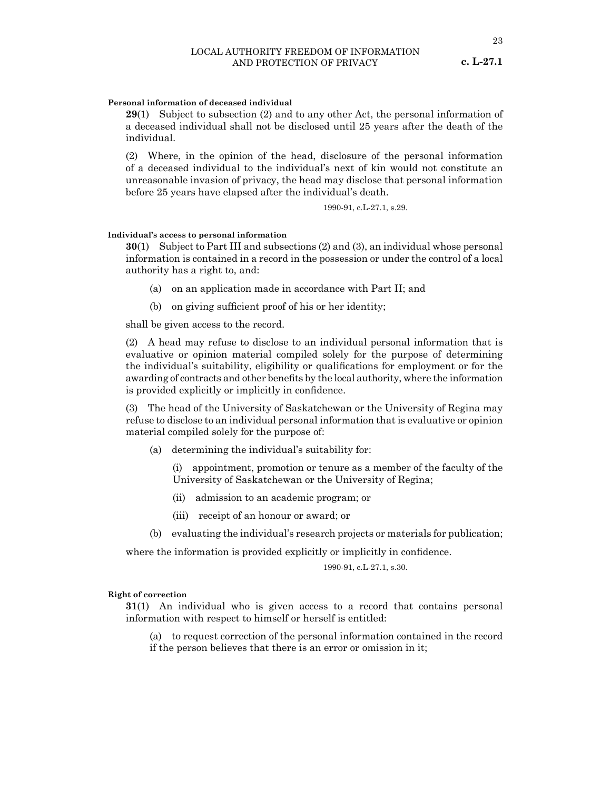#### **Personal information of deceased individual**

**29**(1) Subject to subsection (2) and to any other Act, the personal information of a deceased individual shall not be disclosed until 25 years after the death of the individual.

(2) Where, in the opinion of the head, disclosure of the personal information of a deceased individual to the individual's next of kin would not constitute an unreasonable invasion of privacy, the head may disclose that personal information before 25 years have elapsed after the individual's death.

1990-91, c.L-27.1, s.29.

#### **Individual's access to personal information**

**30**(1) Subject to Part III and subsections (2) and (3), an individual whose personal information is contained in a record in the possession or under the control of a local authority has a right to, and:

- (a) on an application made in accordance with Part II; and
- (b) on giving sufficient proof of his or her identity;

shall be given access to the record.

(2) A head may refuse to disclose to an individual personal information that is evaluative or opinion material compiled solely for the purpose of determining the individual's suitability, eligibility or qualifications for employment or for the awarding of contracts and other benefits by the local authority, where the information is provided explicitly or implicitly in confidence.

(3) The head of the University of Saskatchewan or the University of Regina may refuse to disclose to an individual personal information that is evaluative or opinion material compiled solely for the purpose of:

(a) determining the individual's suitability for:

(i) appointment, promotion or tenure as a member of the faculty of the University of Saskatchewan or the University of Regina;

- (ii) admission to an academic program; or
- (iii) receipt of an honour or award; or
- (b) evaluating the individual's research projects or materials for publication;

where the information is provided explicitly or implicitly in confidence.

#### 1990-91, c.L-27.1, s.30.

#### **Right of correction**

**31**(1) An individual who is given access to a record that contains personal information with respect to himself or herself is entitled:

(a) to request correction of the personal information contained in the record if the person believes that there is an error or omission in it;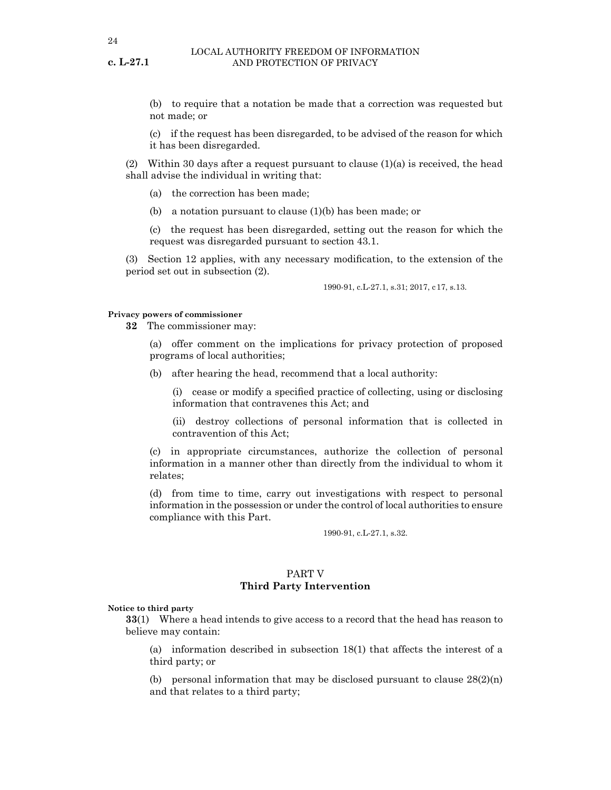(b) to require that a notation be made that a correction was requested but not made; or

(c) if the request has been disregarded, to be advised of the reason for which it has been disregarded.

(2) Within 30 days after a request pursuant to clause  $(1)(a)$  is received, the head shall advise the individual in writing that:

- (a) the correction has been made;
- (b) a notation pursuant to clause (1)(b) has been made; or

(c) the request has been disregarded, setting out the reason for which the request was disregarded pursuant to section 43.1.

(3) Section 12 applies, with any necessary modification, to the extension of the period set out in subsection (2).

1990-91, c.L-27.1, s.31; 2017, c17, s.13.

#### **Privacy powers of commissioner**

**32** The commissioner may:

(a) offer comment on the implications for privacy protection of proposed programs of local authorities;

(b) after hearing the head, recommend that a local authority:

(i) cease or modify a specified practice of collecting, using or disclosing information that contravenes this Act; and

(ii) destroy collections of personal information that is collected in contravention of this Act;

(c) in appropriate circumstances, authorize the collection of personal information in a manner other than directly from the individual to whom it relates;

(d) from time to time, carry out investigations with respect to personal information in the possession or under the control of local authorities to ensure compliance with this Part.

1990-91, c.L-27.1, s.32.

#### PART V **Third Party Intervention**

**Notice to third party**

**33**(1) Where a head intends to give access to a record that the head has reason to believe may contain:

(a) information described in subsection 18(1) that affects the interest of a third party; or

(b) personal information that may be disclosed pursuant to clause  $28(2)(n)$ and that relates to a third party;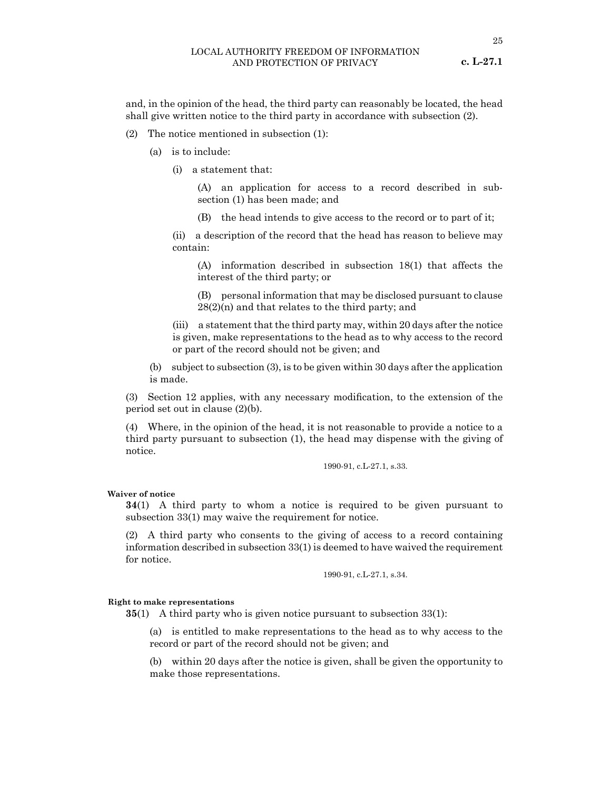#### LOCAL AUTHORITY FREEDOM OF INFORMATION AND PROTECTION OF PRIVACY

and, in the opinion of the head, the third party can reasonably be located, the head shall give written notice to the third party in accordance with subsection (2).

- (2) The notice mentioned in subsection (1):
	- (a) is to include:
		- (i) a statement that:

(A) an application for access to a record described in subsection (1) has been made; and

(B) the head intends to give access to the record or to part of it;

(ii) a description of the record that the head has reason to believe may contain:

(A) information described in subsection 18(1) that affects the interest of the third party; or

(B) personal information that may be disclosed pursuant to clause  $28(2)(n)$  and that relates to the third party; and

(iii) a statement that the third party may, within 20 days after the notice is given, make representations to the head as to why access to the record or part of the record should not be given; and

(b) subject to subsection (3), is to be given within 30 days after the application is made.

(3) Section 12 applies, with any necessary modification, to the extension of the period set out in clause (2)(b).

(4) Where, in the opinion of the head, it is not reasonable to provide a notice to a third party pursuant to subsection (1), the head may dispense with the giving of notice.

1990-91, c.L-27.1, s.33.

#### **Waiver of notice**

**34**(1) A third party to whom a notice is required to be given pursuant to subsection 33(1) may waive the requirement for notice.

(2) A third party who consents to the giving of access to a record containing information described in subsection 33(1) is deemed to have waived the requirement for notice.

1990-91, c.L-27.1, s.34.

#### **Right to make representations**

**35**(1) A third party who is given notice pursuant to subsection 33(1):

(a) is entitled to make representations to the head as to why access to the record or part of the record should not be given; and

(b) within 20 days after the notice is given, shall be given the opportunity to make those representations.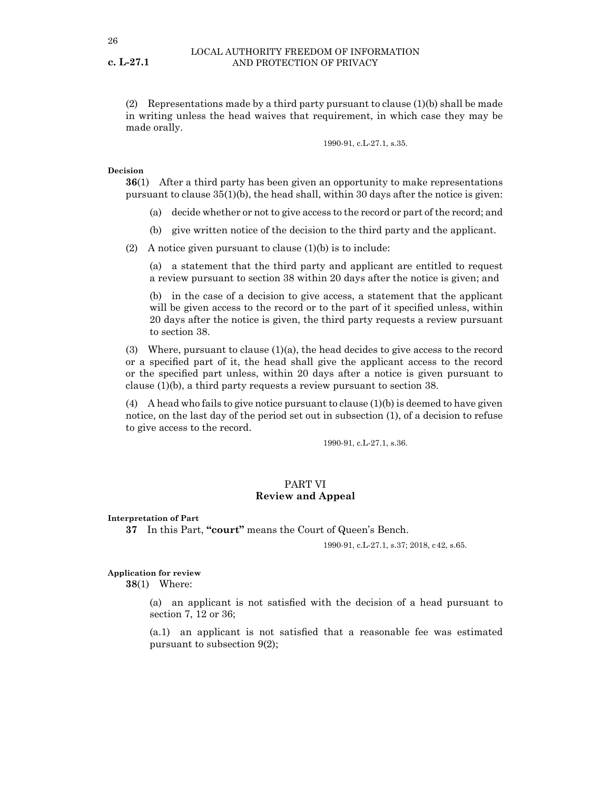(2) Representations made by a third party pursuant to clause (1)(b) shall be made in writing unless the head waives that requirement, in which case they may be made orally.

1990-91, c.L-27.1, s.35.

#### **Decision**

**36**(1) After a third party has been given an opportunity to make representations pursuant to clause  $35(1)(b)$ , the head shall, within 30 days after the notice is given:

- (a) decide whether or not to give access to the record or part of the record; and
- (b) give written notice of the decision to the third party and the applicant.

(2) A notice given pursuant to clause  $(1)(b)$  is to include:

(a) a statement that the third party and applicant are entitled to request a review pursuant to section 38 within 20 days after the notice is given; and

(b) in the case of a decision to give access, a statement that the applicant will be given access to the record or to the part of it specified unless, within 20 days after the notice is given, the third party requests a review pursuant to section 38.

(3) Where, pursuant to clause (1)(a), the head decides to give access to the record or a specified part of it, the head shall give the applicant access to the record or the specified part unless, within 20 days after a notice is given pursuant to clause (1)(b), a third party requests a review pursuant to section 38.

 $(4)$  A head who fails to give notice pursuant to clause  $(1)(b)$  is deemed to have given notice, on the last day of the period set out in subsection (1), of a decision to refuse to give access to the record.

1990-91, c.L-27.1, s.36.

# PART VI **Review and Appeal**

**Interpretation of Part**

**37** In this Part, **"court"** means the Court of Queen's Bench.

1990-91, c.L-27.1, s.37; 2018, c42, s.65.

#### **Application for review**

**38**(1) Where:

(a) an applicant is not satisfied with the decision of a head pursuant to section 7, 12 or 36;

(a.1) an applicant is not satisfied that a reasonable fee was estimated pursuant to subsection 9(2);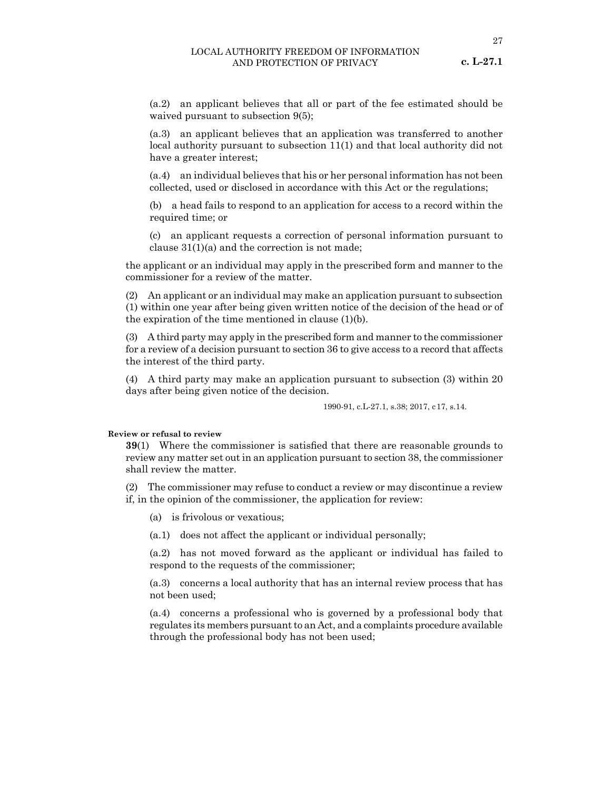27

(a.2) an applicant believes that all or part of the fee estimated should be waived pursuant to subsection 9(5);

(a.3) an applicant believes that an application was transferred to another local authority pursuant to subsection 11(1) and that local authority did not have a greater interest;

(a.4) an individual believes that his or her personal information has not been collected, used or disclosed in accordance with this Act or the regulations;

(b) a head fails to respond to an application for access to a record within the required time; or

(c) an applicant requests a correction of personal information pursuant to clause  $31(1)(a)$  and the correction is not made;

the applicant or an individual may apply in the prescribed form and manner to the commissioner for a review of the matter.

(2) An applicant or an individual may make an application pursuant to subsection (1) within one year after being given written notice of the decision of the head or of the expiration of the time mentioned in clause  $(1)(b)$ .

(3) A third party may apply in the prescribed form and manner to the commissioner for a review of a decision pursuant to section 36 to give access to a record that affects the interest of the third party.

(4) A third party may make an application pursuant to subsection (3) within 20 days after being given notice of the decision.

1990-91, c.L-27.1, s.38; 2017, c17, s.14.

#### **Review or refusal to review**

**39**(1) Where the commissioner is satisfied that there are reasonable grounds to review any matter set out in an application pursuant to section 38, the commissioner shall review the matter.

(2) The commissioner may refuse to conduct a review or may discontinue a review if, in the opinion of the commissioner, the application for review:

- (a) is frivolous or vexatious;
- (a.1) does not affect the applicant or individual personally;

(a.2) has not moved forward as the applicant or individual has failed to respond to the requests of the commissioner;

(a.3) concerns a local authority that has an internal review process that has not been used;

(a.4) concerns a professional who is governed by a professional body that regulates its members pursuant to an Act, and a complaints procedure available through the professional body has not been used;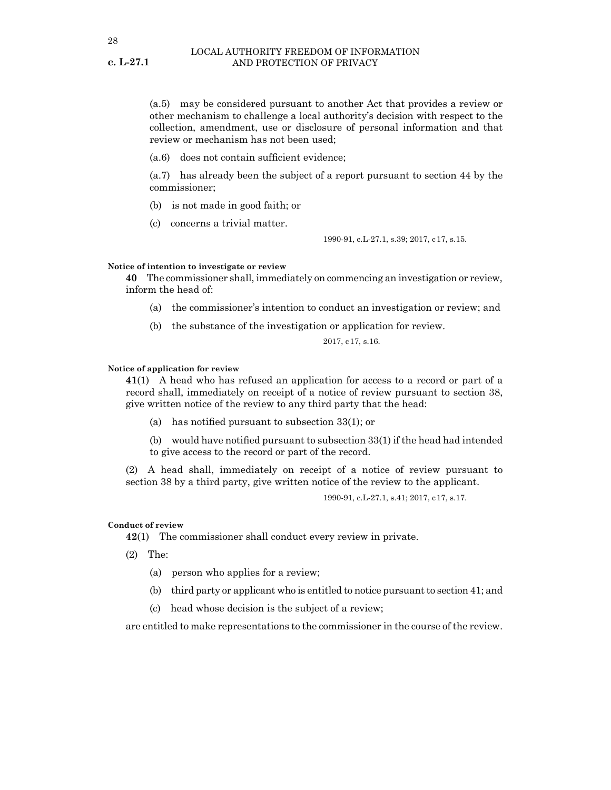(a.5) may be considered pursuant to another Act that provides a review or other mechanism to challenge a local authority's decision with respect to the collection, amendment, use or disclosure of personal information and that review or mechanism has not been used;

(a.6) does not contain sufficient evidence;

(a.7) has already been the subject of a report pursuant to section 44 by the commissioner;

- (b) is not made in good faith; or
- (c) concerns a trivial matter.

1990-91, c.L-27.1, s.39; 2017, c17, s.15.

#### **Notice of intention to investigate or review**

**40** The commissioner shall, immediately on commencing an investigation or review, inform the head of:

- (a) the commissioner's intention to conduct an investigation or review; and
- (b) the substance of the investigation or application for review.

2017, c17, s.16.

#### **Notice of application for review**

**41**(1) A head who has refused an application for access to a record or part of a record shall, immediately on receipt of a notice of review pursuant to section 38, give written notice of the review to any third party that the head:

(a) has notified pursuant to subsection 33(1); or

(b) would have notified pursuant to subsection 33(1) if the head had intended to give access to the record or part of the record.

(2) A head shall, immediately on receipt of a notice of review pursuant to section 38 by a third party, give written notice of the review to the applicant.

1990-91, c.L-27.1, s.41; 2017, c17, s.17.

#### **Conduct of review**

**42**(1) The commissioner shall conduct every review in private.

(2) The:

- (a) person who applies for a review;
- (b) third party or applicant who is entitled to notice pursuant to section 41; and
- (c) head whose decision is the subject of a review;

are entitled to make representations to the commissioner in the course of the review.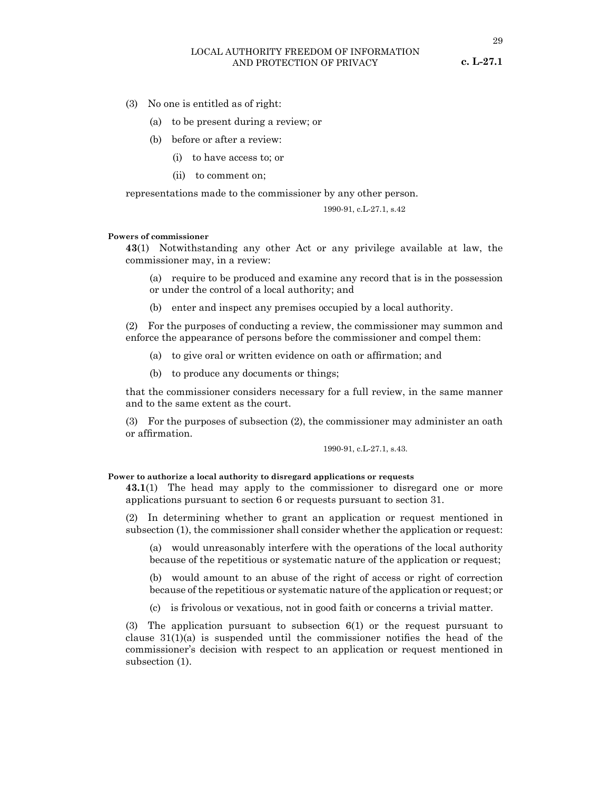#### LOCAL AUTHORITY FREEDOM OF INFORMATION AND PROTECTION OF PRIVACY

- (3) No one is entitled as of right:
	- (a) to be present during a review; or
	- (b) before or after a review:
		- (i) to have access to; or
		- (ii) to comment on;

representations made to the commissioner by any other person.

$$
1990-91, c.L-27.1, s.42
$$

#### **Powers of commissioner**

**43**(1) Notwithstanding any other Act or any privilege available at law, the commissioner may, in a review:

(a) require to be produced and examine any record that is in the possession or under the control of a local authority; and

(b) enter and inspect any premises occupied by a local authority.

(2) For the purposes of conducting a review, the commissioner may summon and enforce the appearance of persons before the commissioner and compel them:

- (a) to give oral or written evidence on oath or affirmation; and
- (b) to produce any documents or things;

that the commissioner considers necessary for a full review, in the same manner and to the same extent as the court.

(3) For the purposes of subsection (2), the commissioner may administer an oath or affirmation.

1990-91, c.L-27.1, s.43.

**Power to authorize a local authority to disregard applications or requests** 

**43.1**(1) The head may apply to the commissioner to disregard one or more applications pursuant to section 6 or requests pursuant to section 31.

(2) In determining whether to grant an application or request mentioned in subsection (1), the commissioner shall consider whether the application or request:

(a) would unreasonably interfere with the operations of the local authority because of the repetitious or systematic nature of the application or request;

(b) would amount to an abuse of the right of access or right of correction because of the repetitious or systematic nature of the application or request; or

(c) is frivolous or vexatious, not in good faith or concerns a trivial matter.

(3) The application pursuant to subsection 6(1) or the request pursuant to clause  $31(1)(a)$  is suspended until the commissioner notifies the head of the commissioner's decision with respect to an application or request mentioned in subsection (1).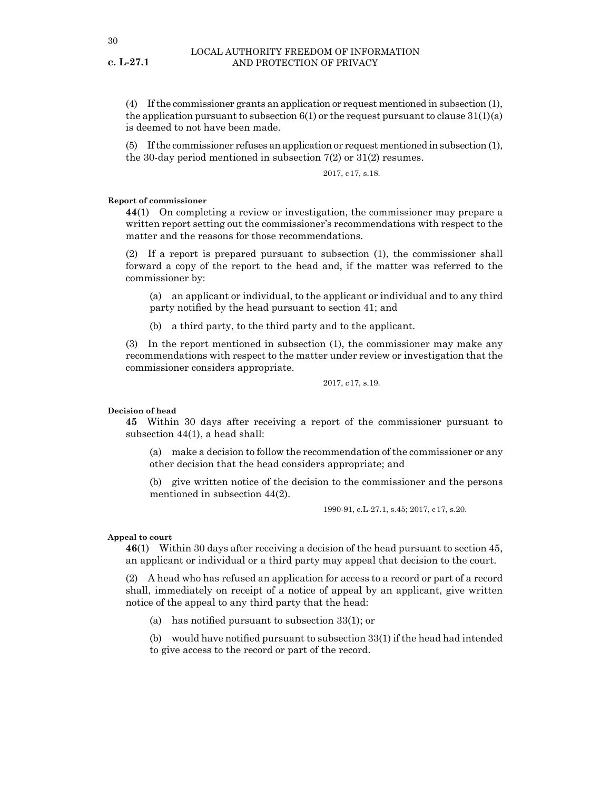(4) If the commissioner grants an application or request mentioned in subsection (1), the application pursuant to subsection  $6(1)$  or the request pursuant to clause  $31(1)(a)$ is deemed to not have been made.

(5) If the commissioner refuses an application or request mentioned in subsection (1), the 30-day period mentioned in subsection  $7(2)$  or  $31(2)$  resumes.

2017, c17, s.18.

#### **Report of commissioner**

**44**(1) On completing a review or investigation, the commissioner may prepare a written report setting out the commissioner's recommendations with respect to the matter and the reasons for those recommendations.

(2) If a report is prepared pursuant to subsection (1), the commissioner shall forward a copy of the report to the head and, if the matter was referred to the commissioner by:

(a) an applicant or individual, to the applicant or individual and to any third party notified by the head pursuant to section 41; and

(b) a third party, to the third party and to the applicant.

(3) In the report mentioned in subsection (1), the commissioner may make any recommendations with respect to the matter under review or investigation that the commissioner considers appropriate.

2017, c17, s.19.

#### **Decision of head**

**45** Within 30 days after receiving a report of the commissioner pursuant to subsection 44(1), a head shall:

(a) make a decision to follow the recommendation of the commissioner or any other decision that the head considers appropriate; and

(b) give written notice of the decision to the commissioner and the persons mentioned in subsection 44(2).

1990-91, c.L-27.1, s.45; 2017, c17, s.20.

#### **Appeal to court**

**46**(1) Within 30 days after receiving a decision of the head pursuant to section 45, an applicant or individual or a third party may appeal that decision to the court.

(2) A head who has refused an application for access to a record or part of a record shall, immediately on receipt of a notice of appeal by an applicant, give written notice of the appeal to any third party that the head:

(a) has notified pursuant to subsection 33(1); or

(b) would have notified pursuant to subsection 33(1) if the head had intended to give access to the record or part of the record.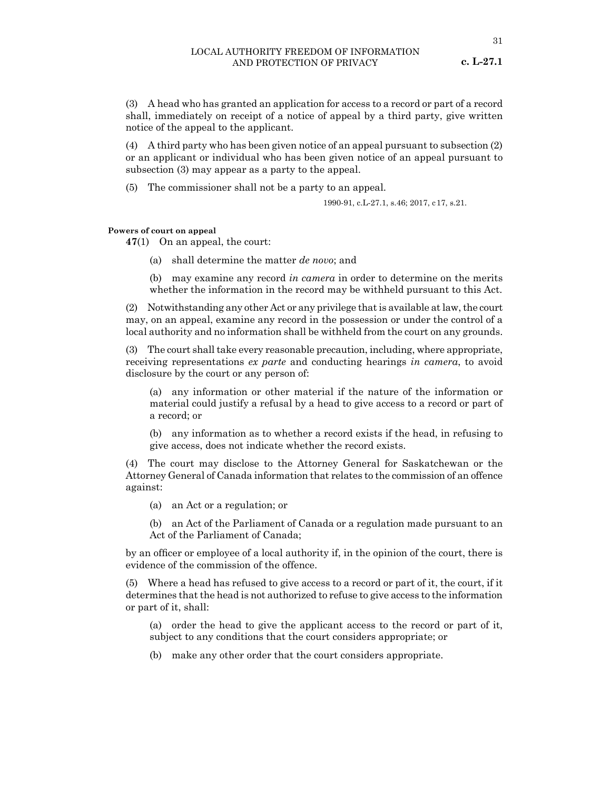(3) A head who has granted an application for access to a record or part of a record shall, immediately on receipt of a notice of appeal by a third party, give written notice of the appeal to the applicant.

(4) A third party who has been given notice of an appeal pursuant to subsection (2) or an applicant or individual who has been given notice of an appeal pursuant to subsection (3) may appear as a party to the appeal.

(5) The commissioner shall not be a party to an appeal.

1990-91, c.L-27.1, s.46; 2017, c17, s.21.

#### **Powers of court on appeal**

**47**(1) On an appeal, the court:

(a) shall determine the matter *de novo*; and

(b) may examine any record *in camera* in order to determine on the merits whether the information in the record may be withheld pursuant to this Act.

(2) Notwithstanding any other Act or any privilege that is available at law, the court may, on an appeal, examine any record in the possession or under the control of a local authority and no information shall be withheld from the court on any grounds.

(3) The court shall take every reasonable precaution, including, where appropriate, receiving representations *ex parte* and conducting hearings *in camera*, to avoid disclosure by the court or any person of:

(a) any information or other material if the nature of the information or material could justify a refusal by a head to give access to a record or part of a record; or

(b) any information as to whether a record exists if the head, in refusing to give access, does not indicate whether the record exists.

(4) The court may disclose to the Attorney General for Saskatchewan or the Attorney General of Canada information that relates to the commission of an offence against:

(a) an Act or a regulation; or

(b) an Act of the Parliament of Canada or a regulation made pursuant to an Act of the Parliament of Canada;

by an officer or employee of a local authority if, in the opinion of the court, there is evidence of the commission of the offence.

(5) Where a head has refused to give access to a record or part of it, the court, if it determines that the head is not authorized to refuse to give access to the information or part of it, shall:

(a) order the head to give the applicant access to the record or part of it, subject to any conditions that the court considers appropriate; or

(b) make any other order that the court considers appropriate.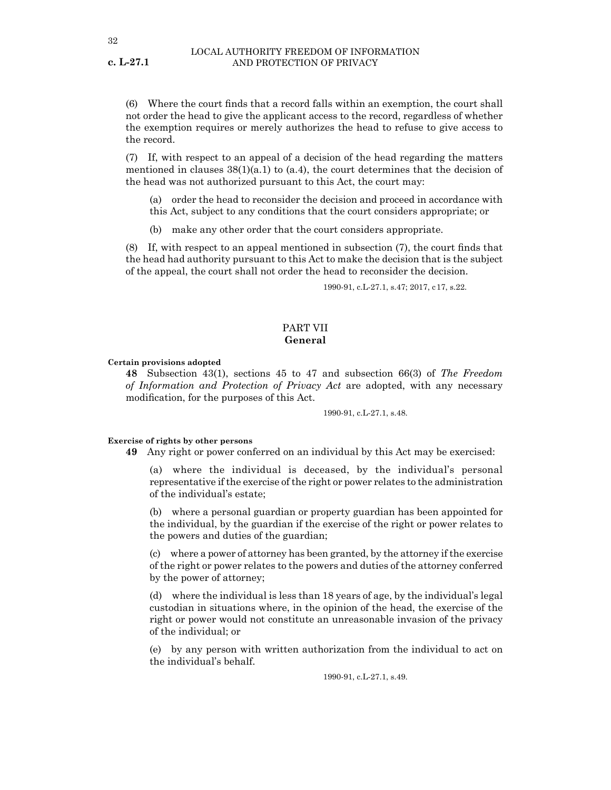(6) Where the court finds that a record falls within an exemption, the court shall not order the head to give the applicant access to the record, regardless of whether the exemption requires or merely authorizes the head to refuse to give access to the record.

(7) If, with respect to an appeal of a decision of the head regarding the matters mentioned in clauses  $38(1)(a.1)$  to  $(a.4)$ , the court determines that the decision of the head was not authorized pursuant to this Act, the court may:

- (a) order the head to reconsider the decision and proceed in accordance with this Act, subject to any conditions that the court considers appropriate; or
- (b) make any other order that the court considers appropriate.

(8) If, with respect to an appeal mentioned in subsection (7), the court finds that the head had authority pursuant to this Act to make the decision that is the subject of the appeal, the court shall not order the head to reconsider the decision.

1990-91, c.L-27.1, s.47; 2017, c17, s.22.

# PART VII **General**

#### **Certain provisions adopted**

**48** Subsection 43(1), sections 45 to 47 and subsection 66(3) of *The Freedom of Information and Protection of Privacy Act* are adopted, with any necessary modification, for the purposes of this Act.

1990-91, c.L-27.1, s.48.

#### **Exercise of rights by other persons**

**49** Any right or power conferred on an individual by this Act may be exercised:

(a) where the individual is deceased, by the individual's personal representative if the exercise of the right or power relates to the administration of the individual's estate;

(b) where a personal guardian or property guardian has been appointed for the individual, by the guardian if the exercise of the right or power relates to the powers and duties of the guardian;

(c) where a power of attorney has been granted, by the attorney if the exercise of the right or power relates to the powers and duties of the attorney conferred by the power of attorney;

(d) where the individual is less than 18 years of age, by the individual's legal custodian in situations where, in the opinion of the head, the exercise of the right or power would not constitute an unreasonable invasion of the privacy of the individual; or

(e) by any person with written authorization from the individual to act on the individual's behalf.

1990-91, c.L-27.1, s.49.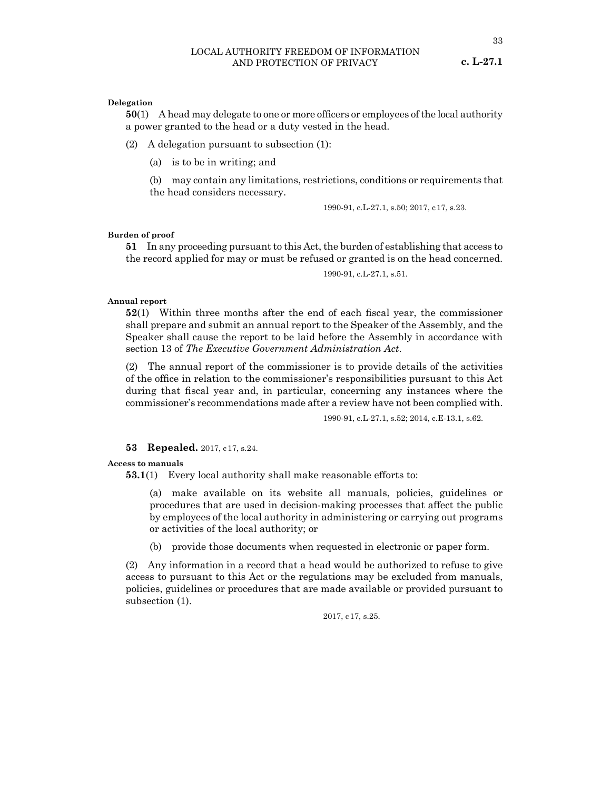#### **Delegation**

**50**(1) A head may delegate to one or more officers or employees of the local authority a power granted to the head or a duty vested in the head.

(2) A delegation pursuant to subsection (1):

(a) is to be in writing; and

(b) may contain any limitations, restrictions, conditions or requirements that the head considers necessary.

1990-91, c.L-27.1, s.50; 2017, c17, s.23.

#### **Burden of proof**

**51** In any proceeding pursuant to this Act, the burden of establishing that access to the record applied for may or must be refused or granted is on the head concerned.

1990-91, c.L-27.1, s.51.

#### **Annual report**

**52**(1) Within three months after the end of each fiscal year, the commissioner shall prepare and submit an annual report to the Speaker of the Assembly, and the Speaker shall cause the report to be laid before the Assembly in accordance with section 13 of *The Executive Government Administration Act*.

(2) The annual report of the commissioner is to provide details of the activities of the office in relation to the commissioner's responsibilities pursuant to this Act during that fiscal year and, in particular, concerning any instances where the commissioner's recommendations made after a review have not been complied with.

1990-91, c.L-27.1, s.52; 2014, c.E-13.1, s.62.

#### **53 Repealed.** 2017, c17, s.24.

#### **Access to manuals**

**53.1**(1) Every local authority shall make reasonable efforts to:

(a) make available on its website all manuals, policies, guidelines or procedures that are used in decision-making processes that affect the public by employees of the local authority in administering or carrying out programs or activities of the local authority; or

(b) provide those documents when requested in electronic or paper form.

(2) Any information in a record that a head would be authorized to refuse to give access to pursuant to this Act or the regulations may be excluded from manuals, policies, guidelines or procedures that are made available or provided pursuant to subsection (1).

2017, c17, s.25.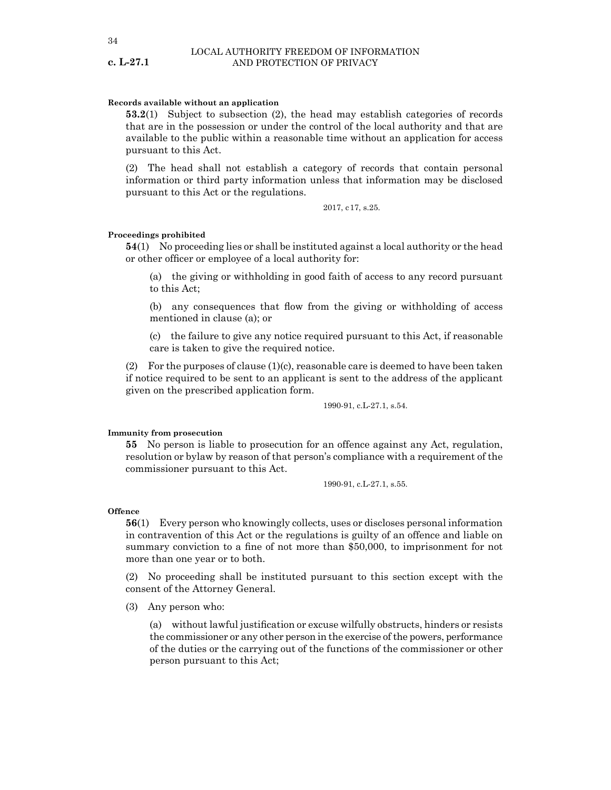#### **Records available without an application**

**53.2**(1) Subject to subsection (2), the head may establish categories of records that are in the possession or under the control of the local authority and that are available to the public within a reasonable time without an application for access pursuant to this Act.

(2) The head shall not establish a category of records that contain personal information or third party information unless that information may be disclosed pursuant to this Act or the regulations.

2017, c17, s.25.

#### **Proceedings prohibited**

**54**(1) No proceeding lies or shall be instituted against a local authority or the head or other officer or employee of a local authority for:

(a) the giving or withholding in good faith of access to any record pursuant to this Act;

(b) any consequences that flow from the giving or withholding of access mentioned in clause (a); or

(c) the failure to give any notice required pursuant to this Act, if reasonable care is taken to give the required notice.

(2) For the purposes of clause  $(1)(c)$ , reasonable care is deemed to have been taken if notice required to be sent to an applicant is sent to the address of the applicant given on the prescribed application form.

1990-91, c.L-27.1, s.54.

#### **Immunity from prosecution**

**55** No person is liable to prosecution for an offence against any Act, regulation, resolution or bylaw by reason of that person's compliance with a requirement of the commissioner pursuant to this Act.

1990-91, c.L-27.1, s.55.

#### **Offence**

**56**(1) Every person who knowingly collects, uses or discloses personal information in contravention of this Act or the regulations is guilty of an offence and liable on summary conviction to a fine of not more than \$50,000, to imprisonment for not more than one year or to both.

(2) No proceeding shall be instituted pursuant to this section except with the consent of the Attorney General.

(3) Any person who:

(a) without lawful justification or excuse wilfully obstructs, hinders or resists the commissioner or any other person in the exercise of the powers, performance of the duties or the carrying out of the functions of the commissioner or other person pursuant to this Act;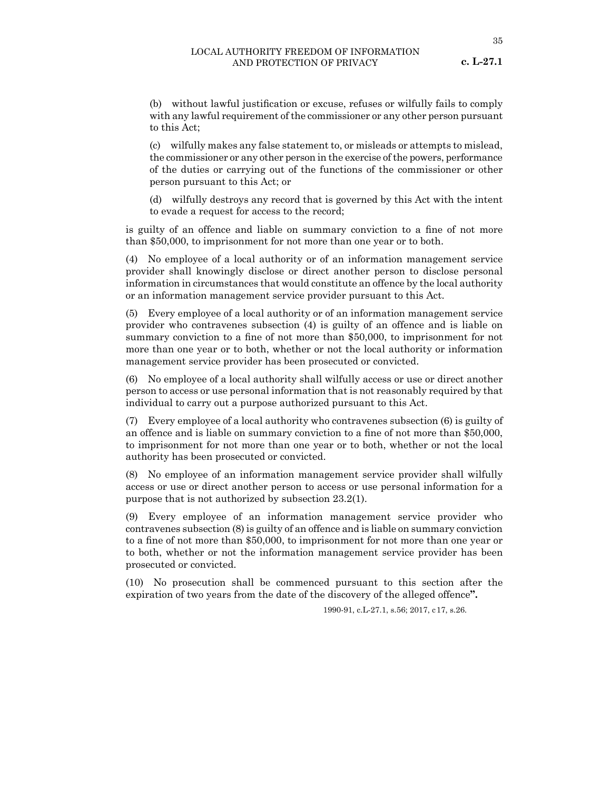**c. L-27.1**

(b) without lawful justification or excuse, refuses or wilfully fails to comply with any lawful requirement of the commissioner or any other person pursuant to this Act;

(c) wilfully makes any false statement to, or misleads or attempts to mislead, the commissioner or any other person in the exercise of the powers, performance of the duties or carrying out of the functions of the commissioner or other person pursuant to this Act; or

(d) wilfully destroys any record that is governed by this Act with the intent to evade a request for access to the record;

is guilty of an offence and liable on summary conviction to a fine of not more than \$50,000, to imprisonment for not more than one year or to both.

(4) No employee of a local authority or of an information management service provider shall knowingly disclose or direct another person to disclose personal information in circumstances that would constitute an offence by the local authority or an information management service provider pursuant to this Act.

(5) Every employee of a local authority or of an information management service provider who contravenes subsection (4) is guilty of an offence and is liable on summary conviction to a fine of not more than \$50,000, to imprisonment for not more than one year or to both, whether or not the local authority or information management service provider has been prosecuted or convicted.

(6) No employee of a local authority shall wilfully access or use or direct another person to access or use personal information that is not reasonably required by that individual to carry out a purpose authorized pursuant to this Act.

(7) Every employee of a local authority who contravenes subsection (6) is guilty of an offence and is liable on summary conviction to a fine of not more than \$50,000, to imprisonment for not more than one year or to both, whether or not the local authority has been prosecuted or convicted.

(8) No employee of an information management service provider shall wilfully access or use or direct another person to access or use personal information for a purpose that is not authorized by subsection 23.2(1).

(9) Every employee of an information management service provider who contravenes subsection (8) is guilty of an offence and is liable on summary conviction to a fine of not more than \$50,000, to imprisonment for not more than one year or to both, whether or not the information management service provider has been prosecuted or convicted.

(10) No prosecution shall be commenced pursuant to this section after the expiration of two years from the date of the discovery of the alleged offence**".**

1990-91, c.L-27.1, s.56; 2017, c17, s.26.